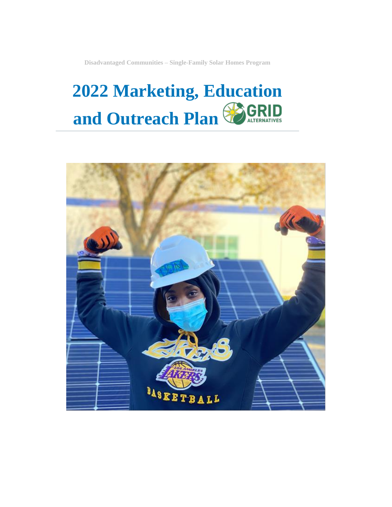**Disadvantaged Communities – Single-Family Solar Homes Program**

## **2022 Marketing, Education**  GRI **and Outreach Plan** ALTERNATIVES

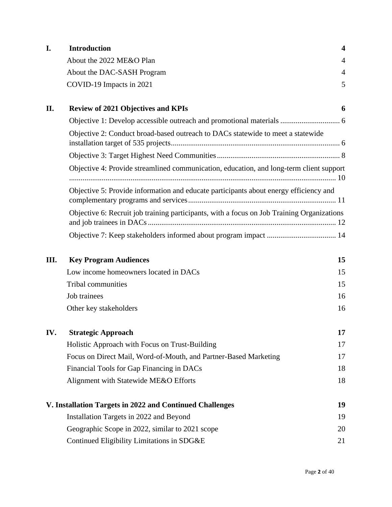| I.  | <b>Introduction</b>                                                                        | $\overline{\mathbf{4}}$ |
|-----|--------------------------------------------------------------------------------------------|-------------------------|
|     | About the 2022 ME&O Plan                                                                   | $\overline{4}$          |
|     | About the DAC-SASH Program                                                                 | $\overline{4}$          |
|     | COVID-19 Impacts in 2021                                                                   | 5                       |
| П.  | <b>Review of 2021 Objectives and KPIs</b>                                                  | 6                       |
|     |                                                                                            |                         |
|     | Objective 2: Conduct broad-based outreach to DACs statewide to meet a statewide            |                         |
|     |                                                                                            |                         |
|     | Objective 4: Provide streamlined communication, education, and long-term client support    |                         |
|     | Objective 5: Provide information and educate participants about energy efficiency and      |                         |
|     | Objective 6: Recruit job training participants, with a focus on Job Training Organizations |                         |
|     |                                                                                            |                         |
| Ш.  | <b>Key Program Audiences</b>                                                               | 15                      |
|     | Low income homeowners located in DACs                                                      | 15                      |
|     | Tribal communities                                                                         | 15                      |
|     | Job trainees                                                                               | 16                      |
|     | Other key stakeholders                                                                     | 16                      |
| IV. | <b>Strategic Approach</b>                                                                  | 17                      |
|     | Holistic Approach with Focus on Trust-Building                                             | 17                      |
|     | Focus on Direct Mail, Word-of-Mouth, and Partner-Based Marketing                           | 17                      |
|     | Financial Tools for Gap Financing in DACs                                                  | 18                      |
|     | Alignment with Statewide ME&O Efforts                                                      | 18                      |
|     | V. Installation Targets in 2022 and Continued Challenges                                   | 19                      |
|     | Installation Targets in 2022 and Beyond                                                    | 19                      |
|     | Geographic Scope in 2022, similar to 2021 scope                                            | 20                      |
|     | Continued Eligibility Limitations in SDG&E                                                 | 21                      |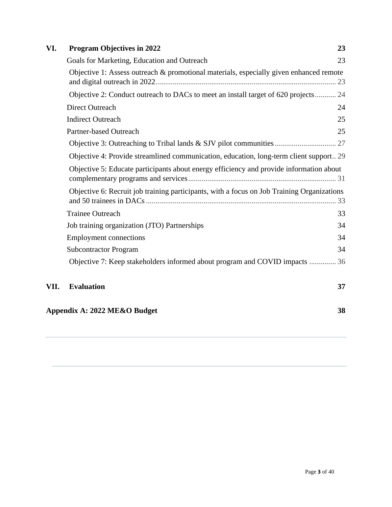| VI.  | <b>Program Objectives in 2022</b>                                                          | 23 |  |  |  |  |
|------|--------------------------------------------------------------------------------------------|----|--|--|--|--|
|      | Goals for Marketing, Education and Outreach<br>23                                          |    |  |  |  |  |
|      | Objective 1: Assess outreach & promotional materials, especially given enhanced remote     | 23 |  |  |  |  |
|      | Objective 2: Conduct outreach to DACs to meet an install target of 620 projects 24         |    |  |  |  |  |
|      | <b>Direct Outreach</b>                                                                     | 24 |  |  |  |  |
|      | <b>Indirect Outreach</b>                                                                   | 25 |  |  |  |  |
|      | Partner-based Outreach                                                                     | 25 |  |  |  |  |
|      |                                                                                            |    |  |  |  |  |
|      | Objective 4: Provide streamlined communication, education, long-term client support 29     |    |  |  |  |  |
|      | Objective 5: Educate participants about energy efficiency and provide information about    |    |  |  |  |  |
|      | Objective 6: Recruit job training participants, with a focus on Job Training Organizations |    |  |  |  |  |
|      | <b>Trainee Outreach</b>                                                                    | 33 |  |  |  |  |
|      | Job training organization (JTO) Partnerships                                               | 34 |  |  |  |  |
|      | <b>Employment connections</b>                                                              | 34 |  |  |  |  |
|      | <b>Subcontractor Program</b>                                                               |    |  |  |  |  |
|      | Objective 7: Keep stakeholders informed about program and COVID impacts  36                |    |  |  |  |  |
| VII. | <b>Evaluation</b>                                                                          | 37 |  |  |  |  |
|      | Appendix A: 2022 ME&O Budget                                                               | 38 |  |  |  |  |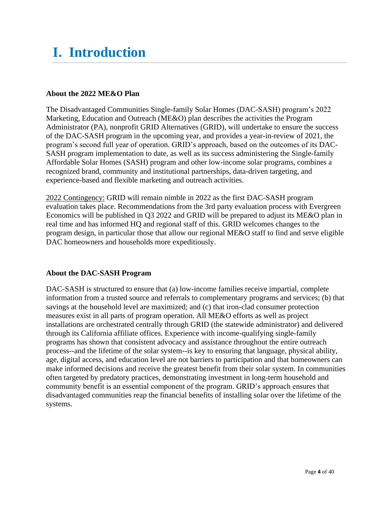## <span id="page-3-0"></span>**I. Introduction**

#### <span id="page-3-1"></span>**About the 2022 ME&O Plan**

The Disadvantaged Communities Single-family Solar Homes (DAC-SASH) program's 2022 Marketing, Education and Outreach (ME&O) plan describes the activities the Program Administrator (PA), nonprofit GRID Alternatives (GRID), will undertake to ensure the success of the DAC-SASH program in the upcoming year, and provides a year-in-review of 2021, the program's second full year of operation. GRID's approach, based on the outcomes of its DAC-SASH program implementation to date, as well as its success administering the Single-family Affordable Solar Homes (SASH) program and other low-income solar programs, combines a recognized brand, community and institutional partnerships, data-driven targeting, and experience-based and flexible marketing and outreach activities.

2022 Contingency: GRID will remain nimble in 2022 as the first DAC-SASH program evaluation takes place. Recommendations from the 3rd party evaluation process with Evergreen Economics will be published in Q3 2022 and GRID will be prepared to adjust its ME&O plan in real time and has informed HQ and regional staff of this. GRID welcomes changes to the program design, in particular those that allow our regional ME&O staff to find and serve eligible DAC homeowners and households more expeditiously.

## <span id="page-3-2"></span>**About the DAC-SASH Program**

DAC-SASH is structured to ensure that (a) low-income families receive impartial, complete information from a trusted source and referrals to complementary programs and services; (b) that savings at the household level are maximized; and (c) that iron-clad consumer protection measures exist in all parts of program operation. All ME&O efforts as well as project installations are orchestrated centrally through GRID (the statewide administrator) and delivered through its California affiliate offices. Experience with income-qualifying single-family programs has shown that consistent advocacy and assistance throughout the entire outreach process--and the lifetime of the solar system--is key to ensuring that language, physical ability, age, digital access, and education level are not barriers to participation and that homeowners can make informed decisions and receive the greatest benefit from their solar system. In communities often targeted by predatory practices, demonstrating investment in long-term household and community benefit is an essential component of the program. GRID's approach ensures that disadvantaged communities reap the financial benefits of installing solar over the lifetime of the systems.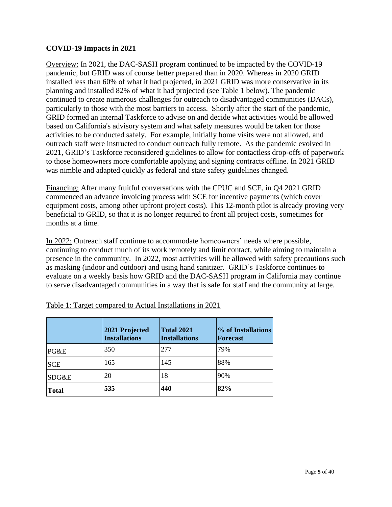#### <span id="page-4-0"></span>**COVID-19 Impacts in 2021**

Overview: In 2021, the DAC-SASH program continued to be impacted by the COVID-19 pandemic, but GRID was of course better prepared than in 2020. Whereas in 2020 GRID installed less than 60% of what it had projected, in 2021 GRID was more conservative in its planning and installed 82% of what it had projected (see Table 1 below). The pandemic continued to create numerous challenges for outreach to disadvantaged communities (DACs), particularly to those with the most barriers to access. Shortly after the start of the pandemic, GRID formed an internal Taskforce to advise on and decide what activities would be allowed based on California's advisory system and what safety measures would be taken for those activities to be conducted safely. For example, initially home visits were not allowed, and outreach staff were instructed to conduct outreach fully remote. As the pandemic evolved in 2021, GRID's Taskforce reconsidered guidelines to allow for contactless drop-offs of paperwork to those homeowners more comfortable applying and signing contracts offline. In 2021 GRID was nimble and adapted quickly as federal and state safety guidelines changed.

Financing: After many fruitful conversations with the CPUC and SCE, in Q4 2021 GRID commenced an advance invoicing process with SCE for incentive payments (which cover equipment costs, among other upfront project costs). This 12-month pilot is already proving very beneficial to GRID, so that it is no longer required to front all project costs, sometimes for months at a time.

In 2022: Outreach staff continue to accommodate homeowners' needs where possible, continuing to conduct much of its work remotely and limit contact, while aiming to maintain a presence in the community. In 2022, most activities will be allowed with safety precautions such as masking (indoor and outdoor) and using hand sanitizer. GRID's Taskforce continues to evaluate on a weekly basis how GRID and the DAC-SASH program in California may continue to serve disadvantaged communities in a way that is safe for staff and the community at large.

|              | 2021 Projected<br><b>Installations</b> | <b>Total 2021</b><br><b>Installations</b> | % of Installations<br><b>Forecast</b> |
|--------------|----------------------------------------|-------------------------------------------|---------------------------------------|
| PG&E         | 350                                    | 277                                       | 79%                                   |
| <b>SCE</b>   | 165                                    | 145                                       | 88%                                   |
| SDG&E        | 20                                     | 18                                        | 90%                                   |
| <b>Total</b> | 535                                    | 440                                       | 82%                                   |

|  | Table 1: Target compared to Actual Installations in 2021 |
|--|----------------------------------------------------------|
|  |                                                          |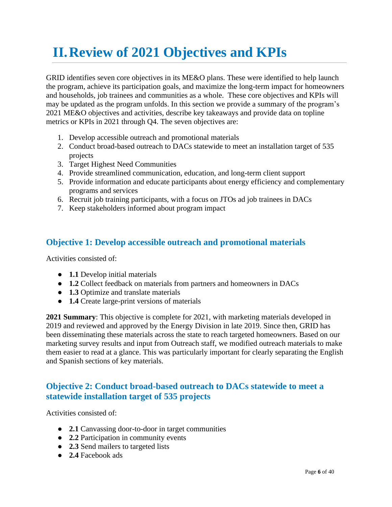## <span id="page-5-0"></span>**II.Review of 2021 Objectives and KPIs**

GRID identifies seven core objectives in its ME&O plans. These were identified to help launch the program, achieve its participation goals, and maximize the long-term impact for homeowners and households, job trainees and communities as a whole. These core objectives and KPIs will may be updated as the program unfolds. In this section we provide a summary of the program's 2021 ME&O objectives and activities, describe key takeaways and provide data on topline metrics or KPIs in 2021 through Q4. The seven objectives are:

- 1. Develop accessible outreach and promotional materials
- 2. Conduct broad-based outreach to DACs statewide to meet an installation target of 535 projects
- 3. Target Highest Need Communities
- 4. Provide streamlined communication, education, and long-term client support
- 5. Provide information and educate participants about energy efficiency and complementary programs and services
- 6. Recruit job training participants, with a focus on JTOs ad job trainees in DACs
- 7. Keep stakeholders informed about program impact

## <span id="page-5-1"></span>**Objective 1: Develop accessible outreach and promotional materials**

Activities consisted of:

- **1.1** Develop initial materials
- **1.2** Collect feedback on materials from partners and homeowners in DACs
- **1.3** Optimize and translate materials
- **1.4** Create large-print versions of materials

**2021 Summary**: This objective is complete for 2021, with marketing materials developed in 2019 and reviewed and approved by the Energy Division in late 2019. Since then, GRID has been disseminating these materials across the state to reach targeted homeowners. Based on our marketing survey results and input from Outreach staff, we modified outreach materials to make them easier to read at a glance. This was particularly important for clearly separating the English and Spanish sections of key materials.

## <span id="page-5-2"></span>**Objective 2: Conduct broad-based outreach to DACs statewide to meet a statewide installation target of 535 projects**

Activities consisted of:

- **2.1** Canvassing door-to-door in target communities
- **2.2** Participation in community events
- **2.3** Send mailers to targeted lists
- **2.4** Facebook ads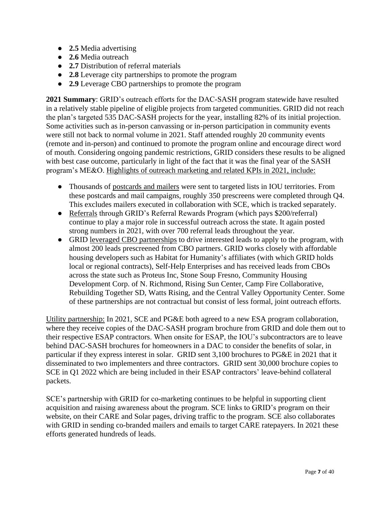- **2.5** Media advertising
- **2.6** Media outreach
- **2.7** Distribution of referral materials
- **2.8** Leverage city partnerships to promote the program
- **2.9** Leverage CBO partnerships to promote the program

**2021 Summary**: GRID's outreach efforts for the DAC-SASH program statewide have resulted in a relatively stable pipeline of eligible projects from targeted communities. GRID did not reach the plan's targeted 535 DAC-SASH projects for the year, installing 82% of its initial projection. Some activities such as in-person canvassing or in-person participation in community events were still not back to normal volume in 2021. Staff attended roughly 20 community events (remote and in-person) and continued to promote the program online and encourage direct word of mouth. Considering ongoing pandemic restrictions, GRID considers these results to be aligned with best case outcome, particularly in light of the fact that it was the final year of the SASH program's ME&O. Highlights of outreach marketing and related KPIs in 2021, include:

- Thousands of postcards and mailers were sent to targeted lists in IOU territories. From these postcards and mail campaigns, roughly 350 prescreens were completed through Q4. This excludes mailers executed in collaboration with SCE, which is tracked separately.
- Referrals through GRID's Referral Rewards Program (which pays \$200/referral) continue to play a major role in successful outreach across the state. It again posted strong numbers in 2021, with over 700 referral leads throughout the year.
- GRID leveraged CBO partnerships to drive interested leads to apply to the program, with almost 200 leads prescreened from CBO partners. GRID works closely with affordable housing developers such as Habitat for Humanity's affiliates (with which GRID holds local or regional contracts), Self-Help Enterprises and has received leads from CBOs across the state such as Proteus Inc, Stone Soup Fresno, Community Housing Development Corp. of N. Richmond, Rising Sun Center, Camp Fire Collaborative, Rebuilding Together SD, Watts Rising, and the Central Valley Opportunity Center. Some of these partnerships are not contractual but consist of less formal, joint outreach efforts.

Utility partnership: In 2021, SCE and PG&E both agreed to a new ESA program collaboration, where they receive copies of the DAC-SASH program brochure from GRID and dole them out to their respective ESAP contractors. When onsite for ESAP, the IOU's subcontractors are to leave behind DAC-SASH brochures for homeowners in a DAC to consider the benefits of solar, in particular if they express interest in solar. GRID sent 3,100 brochures to PG&E in 2021 that it disseminated to two implementers and three contractors. GRID sent 30,000 brochure copies to SCE in Q1 2022 which are being included in their ESAP contractors' leave-behind collateral packets.

SCE's partnership with GRID for co-marketing continues to be helpful in supporting client acquisition and raising awareness about the program. SCE links to GRID's program on their website, on their CARE and Solar pages, driving traffic to the program. SCE also collaborates with GRID in sending co-branded mailers and emails to target CARE ratepayers. In 2021 these efforts generated hundreds of leads.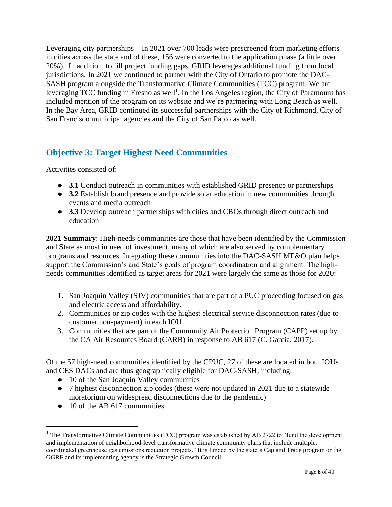Leveraging city partnerships – In 2021 over 700 leads were prescreened from marketing efforts in cities across the state and of these, 156 were converted to the application phase (a little over 20%). In addition, to fill project funding gaps, GRID leverages additional funding from local jurisdictions. In 2021 we continued to partner with the City of Ontario to promote the DAC-SASH program alongside the Transformative Climate Communities (TCC) program. We are leveraging TCC funding in Fresno as well<sup>1</sup>. In the Los Angeles region, the City of Paramount has included mention of the program on its website and we're partnering with Long Beach as well. In the Bay Area, GRID continued its successful partnerships with the City of Richmond, City of San Francisco municipal agencies and the City of San Pablo as well.

## <span id="page-7-0"></span>**Objective 3: Target Highest Need Communities**

Activities consisted of:

- **3.1** Conduct outreach in communities with established GRID presence or partnerships
- **3.2** Establish brand presence and provide solar education in new communities through events and media outreach
- **3.3** Develop outreach partnerships with cities and CBOs through direct outreach and education

**2021 Summary**: High-needs communities are those that have been identified by the Commission and State as most in need of investment, many of which are also served by complementary programs and resources. Integrating these communities into the DAC-SASH ME&O plan helps support the Commission's and State's goals of program coordination and alignment. The highneeds communities identified as target areas for 2021 were largely the same as those for 2020:

- 1. San Joaquin Valley (SJV) communities that are part of a PUC proceeding focused on gas and electric access and affordability.
- 2. Communities or zip codes with the highest electrical service disconnection rates (due to customer non-payment) in each IOU
- 3. Communities that are part of the Community Air Protection Program (CAPP) set up by the CA Air Resources Board (CARB) in response to AB 617 (C. Garcia, 2017).

Of the 57 high-need communities identified by the CPUC, 27 of these are located in both IOUs and CES DACs and are thus geographically eligible for DAC-SASH, including:

- 10 of the San Joaquin Valley communities
- 7 highest disconnection zip codes (these were not updated in 2021 due to a statewide moratorium on widespread disconnections due to the pandemic)
- 10 of the AB 617 communities

<sup>&</sup>lt;sup>1</sup> Th[e Transformative Climate Communities](http://sgc.ca.gov/programs/tcc/) (TCC) program was established by AB 2722 to "fund the development and implementation of neighborhood-level transformative climate community plans that include multiple, coordinated greenhouse gas emissions reduction projects." It is funded by the state's Cap and Trade program or the GGRF and its implementing agency is the Strategic Growth Council.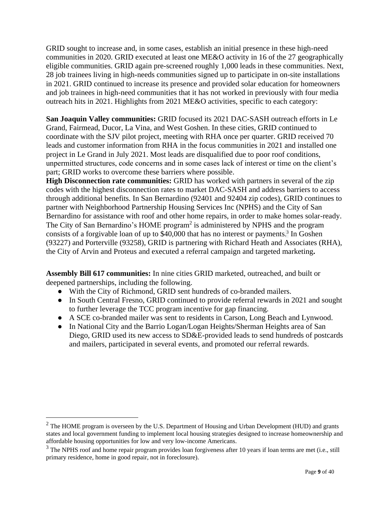GRID sought to increase and, in some cases, establish an initial presence in these high-need communities in 2020. GRID executed at least one ME&O activity in 16 of the 27 geographically eligible communities. GRID again pre-screened roughly 1,000 leads in these communities. Next, 28 job trainees living in high-needs communities signed up to participate in on-site installations in 2021. GRID continued to increase its presence and provided solar education for homeowners and job trainees in high-need communities that it has not worked in previously with four media outreach hits in 2021. Highlights from 2021 ME&O activities, specific to each category:

**San Joaquin Valley communities:** GRID focused its 2021 DAC-SASH outreach efforts in Le Grand, Fairmead, Ducor, La Vina, and West Goshen. In these cities, GRID continued to coordinate with the SJV pilot project, meeting with RHA once per quarter. GRID received 70 leads and customer information from RHA in the focus communities in 2021 and installed one project in Le Grand in July 2021. Most leads are disqualified due to poor roof conditions, unpermitted structures, code concerns and in some cases lack of interest or time on the client's part; GRID works to overcome these barriers where possible.

**High Disconnection rate communities:** GRID has worked with partners in several of the zip codes with the highest disconnection rates to market DAC-SASH and address barriers to access through additional benefits. In San Bernardino (92401 and 92404 zip codes), GRID continues to partner with Neighborhood Partnership Housing Services Inc (NPHS) and the City of San Bernardino for assistance with roof and other home repairs, in order to make homes solar-ready. The City of San Bernardino's HOME program<sup>2</sup> is administered by NPHS and the program consists of a forgivable loan of up to \$40,000 that has no interest or payments. 3 In Goshen (93227) and Porterville (93258), GRID is partnering with Richard Heath and Associates (RHA), the City of Arvin and Proteus and executed a referral campaign and targeted marketing**.**

**Assembly Bill 617 communities:** In nine cities GRID marketed, outreached, and built or deepened partnerships, including the following.

- With the City of Richmond, GRID sent hundreds of co-branded mailers.
- In South Central Fresno, GRID continued to provide referral rewards in 2021 and sought to further leverage the TCC program incentive for gap financing.
- A SCE co-branded mailer was sent to residents in Carson, Long Beach and Lynwood.
- In National City and the Barrio Logan/Logan Heights/Sherman Heights area of San Diego, GRID used its new access to SD&E-provided leads to send hundreds of postcards and mailers, participated in several events, and promoted our referral rewards.

 $2$  The HOME program is overseen by the U.S. Department of Housing and Urban Development (HUD) and grants states and local government funding to implement local housing strategies designed to increase homeownership and affordable housing opportunities for low and very low-income Americans.

 $3$  The NPHS roof and home repair program provides loan forgiveness after 10 years if loan terms are met (i.e., still primary residence, home in good repair, not in foreclosure).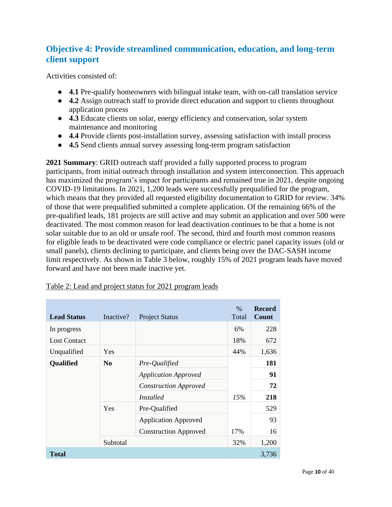## <span id="page-9-0"></span>**Objective 4: Provide streamlined communication, education, and long-term client support**

Activities consisted of:

- **4.1** Pre-qualify homeowners with bilingual intake team, with on-call translation service
- **4.2** Assign outreach staff to provide direct education and support to clients throughout application process
- **4.3** Educate clients on solar, energy efficiency and conservation, solar system maintenance and monitoring
- **4.4** Provide clients post-installation survey, assessing satisfaction with install process
- **4.5** Send clients annual survey assessing long-term program satisfaction

**2021 Summary**: GRID outreach staff provided a fully supported process to program participants, from initial outreach through installation and system interconnection. This approach has maximized the program's impact for participants and remained true in 2021, despite ongoing COVID-19 limitations. In 2021, 1,200 leads were successfully prequalified for the program, which means that they provided all requested eligibility documentation to GRID for review. 34% of those that were prequalified submitted a complete application. Of the remaining 66% of the pre-qualified leads, 181 projects are still active and may submit an application and over 500 were deactivated. The most common reason for lead deactivation continues to be that a home is not solar suitable due to an old or unsafe roof. The second, third and fourth most common reasons for eligible leads to be deactivated were code compliance or electric panel capacity issues (old or small panels), clients declining to participate, and clients being over the DAC-SASH income limit respectively. As shown in Table 3 below, roughly 15% of 2021 program leads have moved forward and have not been made inactive yet.

| <b>Lead Status</b>  | Inactive?      | <b>Project Status</b>        | $\%$<br>Total | <b>Record</b><br>Count |
|---------------------|----------------|------------------------------|---------------|------------------------|
| In progress         |                |                              | 6%            | 228                    |
| <b>Lost Contact</b> |                |                              | 18%           | 672                    |
| Unqualified         | Yes            |                              | 44%           | 1,636                  |
| <b>Qualified</b>    | N <sub>0</sub> | Pre-Qualified                |               | 181                    |
|                     |                | <b>Application Approved</b>  |               | 91                     |
|                     |                | <b>Construction Approved</b> |               | 72                     |
|                     |                | <i>Installed</i>             | 15%           | 218                    |
|                     | Yes            | Pre-Qualified                |               | 529                    |
|                     |                | <b>Application Approved</b>  |               | 93                     |
|                     |                | <b>Construction Approved</b> | 17%           | 16                     |
|                     | Subtotal       |                              | 32%           | 1,200                  |
| <b>Total</b>        |                |                              |               | 3,736                  |

| Table 2: Lead and project status for 2021 program leads |
|---------------------------------------------------------|
|---------------------------------------------------------|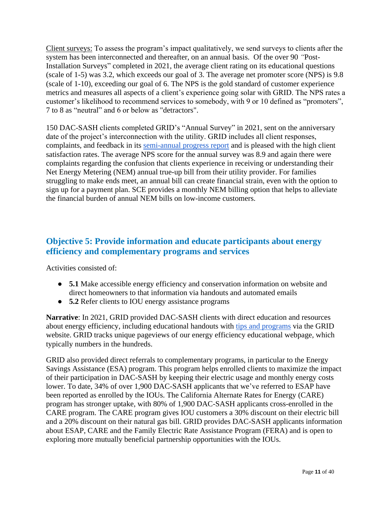Client surveys: To assess the program's impact qualitatively, we send surveys to clients after the system has been interconnected and thereafter, on an annual basis. Of the over 90 *"*Post-Installation Surveys" completed in 2021, the average client rating on its educational questions (scale of 1-5) was 3.2, which exceeds our goal of 3. The average net promoter score (NPS) is 9.8 (scale of 1-10), exceeding our goal of 6. The NPS is the gold standard of customer experience metrics and measures all aspects of a client's experience going solar with GRID. The NPS rates a customer's likelihood to recommend services to somebody, with 9 or 10 defined as "promoters", 7 to 8 as "neutral" and 6 or below as "detractors".

150 DAC-SASH clients completed GRID's "Annual Survey" in 2021, sent on the anniversary date of the project's interconnection with the utility. GRID includes all client responses, complaints, and feedback in its [semi-annual progress report](https://gridalternatives.org/sites/default/files/DAC-SASH%20Semi-Annual%20progress%20report%20FINAL%207.30.20.pdf) and is pleased with the high client satisfaction rates. The average NPS score for the annual survey was 8.9 and again there were complaints regarding the confusion that clients experience in receiving or understanding their Net Energy Metering (NEM) annual true-up bill from their utility provider. For families struggling to make ends meet, an annual bill can create financial strain, even with the option to sign up for a payment plan. SCE provides a monthly NEM billing option that helps to alleviate the financial burden of annual NEM bills on low-income customers.

## <span id="page-10-0"></span>**Objective 5: Provide information and educate participants about energy efficiency and complementary programs and services**

Activities consisted of:

- **5.1** Make accessible energy efficiency and conservation information on website and direct homeowners to that information via handouts and automated emails
- **5.2** Refer clients to IOU energy assistance programs

**Narrative**: In 2021, GRID provided DAC-SASH clients with direct education and resources about energy efficiency, including educational [handouts w](https://gridalternatives.org/your-system/maintenance-repairs/energy-efficiency)ith [tips and programs](https://gridalternatives.org/your-system/maintenance-repairs/energy-efficiency) via the GRID website. GRID tracks unique pageviews of our energy efficiency educational webpage, which typically numbers in the hundreds.

GRID also provided direct referrals to complementary programs, in particular to the Energy Savings Assistance (ESA) program. This program helps enrolled clients to maximize the impact of their participation in DAC-SASH by keeping their electric usage and monthly energy costs lower. To date, 34% of over 1,900 DAC-SASH applicants that we've referred to ESAP have been reported as enrolled by the IOUs. The California Alternate Rates for Energy (CARE) program has stronger uptake, with 80% of 1,900 DAC-SASH applicants cross-enrolled in the CARE program. The CARE program gives IOU customers a 30% discount on their electric bill and a 20% discount on their natural gas bill. GRID provides DAC-SASH applicants information about ESAP, CARE and the Family Electric Rate Assistance Program (FERA) and is open to exploring more mutually beneficial partnership opportunities with the IOUs.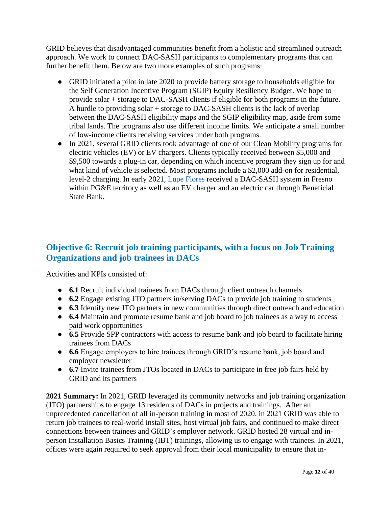GRID believes that disadvantaged communities benefit from a holistic and streamlined outreach approach. We work to connect DAC-SASH participants to complementary programs that can further benefit them. Below are two more examples of such programs:

- GRID initiated a pilot in late 2020 to provide battery storage to households eligible for the Self Generation Incentive Program (SGIP) Equity Resiliency Budget. We hope to provide solar + storage to DAC-SASH clients if eligible for both programs in the future. A hurdle to providing solar + storage to DAC-SASH clients is the lack of overlap between the DAC-SASH eligibility maps and the SGIP eligibility map, aside from some tribal lands. The programs also use different income limits. We anticipate a small number of low-income clients receiving services under both programs.
- In 2021, several GRID clients took advantage of one of our Clean Mobility programs for electric vehicles (EV) or EV chargers. Clients typically received between \$5,000 and \$9,500 towards a plug-in car, depending on which incentive program they sign up for and what kind of vehicle is selected. Most programs include a \$2,000 add-on for residential, level-2 charging. In early 2021, [Lupe Flores](https://gridalternatives.org/headquarters/news/powered-sun) received a DAC-SASH system in Fresno within PG&E territory as well as an EV charger and an electric car through Beneficial State Bank.

## <span id="page-11-0"></span>**Objective 6: Recruit job training participants, with a focus on Job Training Organizations and job trainees in DACs**

Activities and KPIs consisted of:

- **6.1** Recruit individual trainees from DACs through client outreach channels
- **6.2** Engage existing JTO partners in/serving DACs to provide job training to students
- **6.3** Identify new JTO partners in new communities through direct outreach and education
- **6.4** Maintain and promote resume bank and job board to job trainees as a way to access paid work opportunities
- **6.5** Provide SPP contractors with access to resume bank and job board to facilitate hiring trainees from DACs
- **6.6** Engage employers to hire trainees through GRID's resume bank, job board and employer newsletter
- **6.7** Invite trainees from JTOs located in DACs to participate in free job fairs held by GRID and its partners

**2021 Summary:** In 2021, GRID leveraged its community networks and job training organization (JTO) partnerships to engage 13 residents of DACs in projects and trainings. After an unprecedented cancellation of all in-person training in most of 2020, in 2021 GRID was able to return job trainees to real-world install sites, host virtual job fairs, and continued to make direct connections between trainees and GRID's employer network. GRID hosted 28 virtual and inperson Installation Basics Training (IBT) trainings, allowing us to engage with trainees. In 2021, offices were again required to seek approval from their local municipality to ensure that in-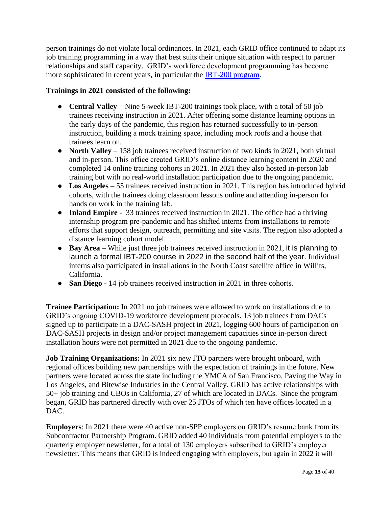person trainings do not violate local ordinances. In 2021, each GRID office continued to adapt its job training programming in a way that best suits their unique situation with respect to partner relationships and staff capacity. GRID's workforce development programming has become more sophisticated in recent years, in particular the [IBT-200 program.](https://gridalternatives.org/ibt200)

#### **Trainings in 2021 consisted of the following:**

- **Central Valley** Nine 5-week IBT-200 trainings took place, with a total of 50 job trainees receiving instruction in 2021. After offering some distance learning options in the early days of the pandemic, this region has returned successfully to in-person instruction, building a mock training space, including mock roofs and a house that trainees learn on.
- **North Valley** 158 job trainees received instruction of two kinds in 2021, both virtual and in-person. This office created GRID's online distance learning content in 2020 and completed 14 online training cohorts in 2021. In 2021 they also hosted in-person lab training but with no real-world installation participation due to the ongoing pandemic.
- **Los Angeles** 55 trainees received instruction in 2021. This region has introduced hybrid cohorts, with the trainees doing classroom lessons online and attending in-person for hands on work in the training lab.
- **Inland Empire** 33 trainees received instruction in 2021. The office had a thriving internship program pre-pandemic and has shifted interns from installations to remote efforts that support design, outreach, permitting and site visits. The region also adopted a distance learning cohort model.
- **Bay Area** While just three job trainees received instruction in 2021, it is planning to launch a formal IBT-200 course in 2022 in the second half of the year. Individual interns also participated in installations in the North Coast satellite office in Willits, California.
- **San Diego** 14 job trainees received instruction in 2021 in three cohorts.

**Trainee Participation:** In 2021 no job trainees were allowed to work on installations due to GRID's ongoing COVID-19 workforce development protocols. 13 job trainees from DACs signed up to participate in a DAC-SASH project in 2021, logging 600 hours of participation on DAC-SASH projects in design and/or project management capacities since in-person direct installation hours were not permitted in 2021 due to the ongoing pandemic.

**Job Training Organizations:** In 2021 six new JTO partners were brought onboard, with regional offices building new partnerships with the expectation of trainings in the future. New partners were located across the state including the YMCA of San Francisco, Paving the Way in Los Angeles, and Bitewise Industries in the Central Valley. GRID has active relationships with 50+ job training and CBOs in California, 27 of which are located in DACs. Since the program began, GRID has partnered directly with over 25 JTOs of which ten have offices located in a DAC.

**Employers**: In 2021 there were 40 active non-SPP employers on GRID's resume bank from its Subcontractor Partnership Program. GRID added 40 individuals from potential employers to the quarterly employer newsletter, for a total of 130 employers subscribed to GRID's employer newsletter. This means that GRID is indeed engaging with employers, but again in 2022 it will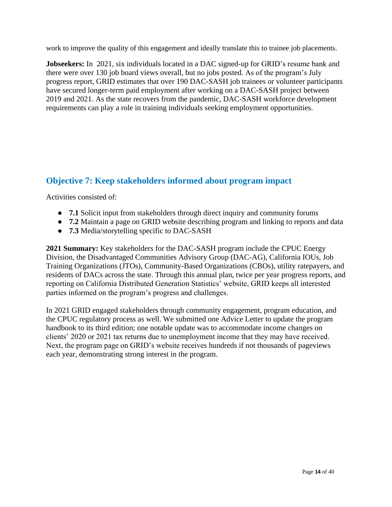work to improve the quality of this engagement and ideally translate this to trainee job placements.

**Jobseekers:** In 2021, six individuals located in a DAC signed-up for GRID's resume bank and there were over 130 job board views overall, but no jobs posted. As of the program's July progress report, GRID estimates that over 190 DAC-SASH job trainees or volunteer participants have secured longer-term paid employment after working on a DAC-SASH project between 2019 and 2021. As the state recovers from the pandemic, DAC-SASH workforce development requirements can play a role in training individuals seeking employment opportunities.

## <span id="page-13-0"></span>**Objective 7: Keep stakeholders informed about program impact**

Activities consisted of:

- **7.1** Solicit input from stakeholders through direct inquiry and community forums
- **7.2** Maintain a page on GRID website describing program and linking to reports and data
- **7.3** Media/storytelling specific to DAC-SASH

**2021 Summary:** Key stakeholders for the DAC-SASH program include the CPUC Energy Division, the Disadvantaged Communities Advisory Group (DAC-AG), California IOUs, Job Training Organizations (JTOs), Community-Based Organizations (CBOs), utility ratepayers, and residents of DACs across the state. Through this annual plan, twice per year progress reports, and reporting on California Distributed Generation Statistics' website, GRID keeps all interested parties informed on the program's progress and challenges.

In 2021 GRID engaged stakeholders through community engagement, program education, and the CPUC regulatory process as well. We submitted one Advice Letter to update the program handbook to its third edition; one notable update was to accommodate income changes on clients' 2020 or 2021 tax returns due to unemployment income that they may have received. Next, the program page on GRID's website receives hundreds if not thousands of pageviews each year, demonstrating strong interest in the program.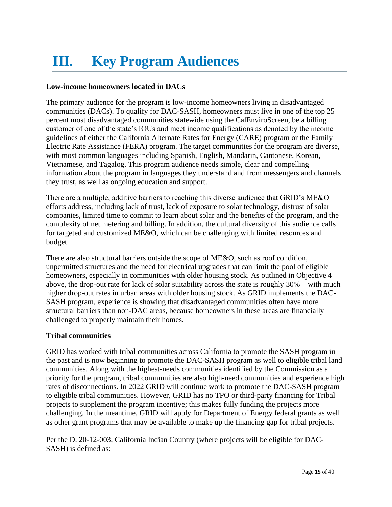# <span id="page-14-0"></span>**III. Key Program Audiences**

## <span id="page-14-1"></span>**Low-income homeowners located in DACs**

The primary audience for the program is low-income homeowners living in disadvantaged communities (DACs). To qualify for DAC-SASH, homeowners must live in one of the top 25 percent most disadvantaged communities statewide using the CalEnviroScreen, be a billing customer of one of the state's IOUs and meet income qualifications as denoted by the income guidelines of either the California Alternate Rates for Energy (CARE) program or the Family Electric Rate Assistance (FERA) program. The target communities for the program are diverse, with most common languages including Spanish, English, Mandarin, Cantonese, Korean, Vietnamese, and Tagalog. This program audience needs simple, clear and compelling information about the program in languages they understand and from messengers and channels they trust, as well as ongoing education and support.

There are a multiple, additive barriers to reaching this diverse audience that GRID's ME&O efforts address, including lack of trust, lack of exposure to solar technology, distrust of solar companies, limited time to commit to learn about solar and the benefits of the program, and the complexity of net metering and billing. In addition, the cultural diversity of this audience calls for targeted and customized ME&O, which can be challenging with limited resources and budget.

There are also structural barriers outside the scope of ME&O, such as roof condition, unpermitted structures and the need for electrical upgrades that can limit the pool of eligible homeowners, especially in communities with older housing stock. As outlined in Objective 4 above, the drop-out rate for lack of solar suitability across the state is roughly 30% – with much higher drop-out rates in urban areas with older housing stock. As GRID implements the DAC-SASH program, experience is showing that disadvantaged communities often have more structural barriers than non-DAC areas, because homeowners in these areas are financially challenged to properly maintain their homes.

## <span id="page-14-2"></span>**Tribal communities**

GRID has worked with tribal communities across California to promote the SASH program in the past and is now beginning to promote the DAC-SASH program as well to eligible tribal land communities. Along with the highest-needs communities identified by the Commission as a priority for the program, tribal communities are also high-need communities and experience high rates of disconnections. In 2022 GRID will continue work to promote the DAC-SASH program to eligible tribal communities. However, GRID has no TPO or third-party financing for Tribal projects to supplement the program incentive; this makes fully funding the projects more challenging. In the meantime, GRID will apply for Department of Energy federal grants as well as other grant programs that may be available to make up the financing gap for tribal projects.

Per the D. 20-12-003, California Indian Country (where projects will be eligible for DAC-SASH) is defined as: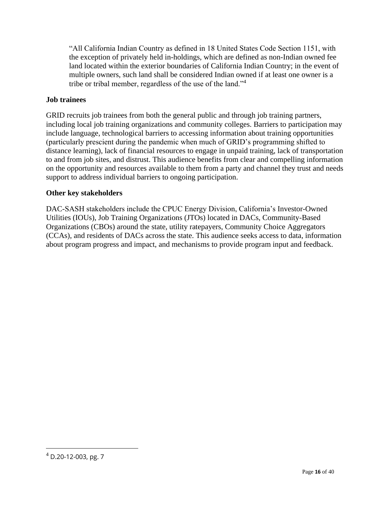"All California Indian Country as defined in 18 United States Code Section 1151, with the exception of privately held in-holdings, which are defined as non-Indian owned fee land located within the exterior boundaries of California Indian Country; in the event of multiple owners, such land shall be considered Indian owned if at least one owner is a tribe or tribal member, regardless of the use of the land."<sup>4</sup>

#### <span id="page-15-0"></span>**Job trainees**

GRID recruits job trainees from both the general public and through job training partners, including local job training organizations and community colleges. Barriers to participation may include language, technological barriers to accessing information about training opportunities (particularly prescient during the pandemic when much of GRID's programming shifted to distance learning), lack of financial resources to engage in unpaid training, lack of transportation to and from job sites, and distrust. This audience benefits from clear and compelling information on the opportunity and resources available to them from a party and channel they trust and needs support to address individual barriers to ongoing participation.

#### <span id="page-15-1"></span>**Other key stakeholders**

DAC-SASH stakeholders include the CPUC Energy Division, California's Investor-Owned Utilities (IOUs), Job Training Organizations (JTOs) located in DACs, Community-Based Organizations (CBOs) around the state, utility ratepayers, Community Choice Aggregators (CCAs), and residents of DACs across the state. This audience seeks access to data, information about program progress and impact, and mechanisms to provide program input and feedback.

<sup>4</sup> D.20-12-003, pg. 7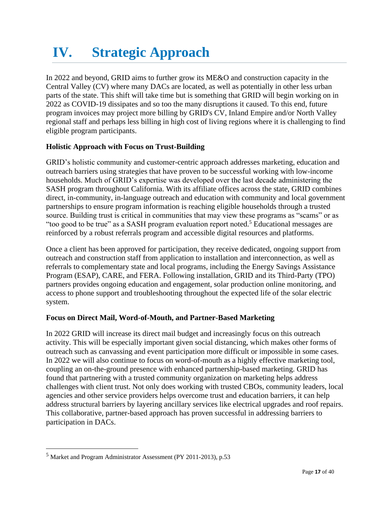# <span id="page-16-0"></span>**IV. Strategic Approach**

In 2022 and beyond, GRID aims to further grow its ME&O and construction capacity in the Central Valley (CV) where many DACs are located, as well as potentially in other less urban parts of the state. This shift will take time but is something that GRID will begin working on in 2022 as COVID-19 dissipates and so too the many disruptions it caused. To this end, future program invoices may project more billing by GRID's CV, Inland Empire and/or North Valley regional staff and perhaps less billing in high cost of living regions where it is challenging to find eligible program participants.

## <span id="page-16-1"></span>**Holistic Approach with Focus on Trust-Building**

GRID's holistic community and customer-centric approach addresses marketing, education and outreach barriers using strategies that have proven to be successful working with low-income households. Much of GRID's expertise was developed over the last decade administering the SASH program throughout California. With its affiliate offices across the state, GRID combines direct, in-community, in-language outreach and education with community and local government partnerships to ensure program information is reaching eligible households through a trusted source. Building trust is critical in communities that may view these programs as "scams" or as "too good to be true" as a SASH program evaluation report noted.<sup>5</sup> Educational messages are reinforced by a robust referrals program and accessible digital resources and platforms.

Once a client has been approved for participation, they receive dedicated, ongoing support from outreach and construction staff from application to installation and interconnection, as well as referrals to complementary state and local programs, including the Energy Savings Assistance Program (ESAP), CARE, and FERA. Following installation, GRID and its Third-Party (TPO) partners provides ongoing education and engagement, solar production online monitoring, and access to phone support and troubleshooting throughout the expected life of the solar electric system.

## <span id="page-16-2"></span>**Focus on Direct Mail, Word-of-Mouth, and Partner-Based Marketing**

In 2022 GRID will increase its direct mail budget and increasingly focus on this outreach activity. This will be especially important given social distancing, which makes other forms of outreach such as canvassing and event participation more difficult or impossible in some cases. In 2022 we will also continue to focus on word-of-mouth as a highly effective marketing tool, coupling an on-the-ground presence with enhanced partnership-based marketing. GRID has found that partnering with a trusted community organization on marketing helps address challenges with client trust. Not only does working with trusted CBOs, community leaders, local agencies and other service providers helps overcome trust and education barriers, it can help address structural barriers by layering ancillary services like electrical upgrades and roof repairs. This collaborative, partner-based approach has proven successful in addressing barriers to participation in DACs.

<sup>5</sup> Market and Program Administrator Assessment (PY 2011-2013), p.53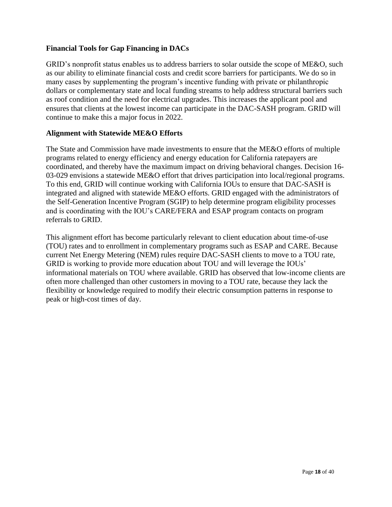#### <span id="page-17-0"></span>**Financial Tools for Gap Financing in DACs**

GRID's nonprofit status enables us to address barriers to solar outside the scope of ME&O, such as our ability to eliminate financial costs and credit score barriers for participants. We do so in many cases by supplementing the program's incentive funding with private or philanthropic dollars or complementary state and local funding streams to help address structural barriers such as roof condition and the need for electrical upgrades. This increases the applicant pool and ensures that clients at the lowest income can participate in the DAC-SASH program. GRID will continue to make this a major focus in 2022.

#### <span id="page-17-1"></span>**Alignment with Statewide ME&O Efforts**

The State and Commission have made investments to ensure that the ME&O efforts of multiple programs related to energy efficiency and energy education for California ratepayers are coordinated, and thereby have the maximum impact on driving behavioral changes. Decision 16- 03-029 envisions a statewide ME&O effort that drives participation into local/regional programs. To this end, GRID will continue working with California IOUs to ensure that DAC-SASH is integrated and aligned with statewide ME&O efforts. GRID engaged with the administrators of the Self-Generation Incentive Program (SGIP) to help determine program eligibility processes and is coordinating with the IOU's CARE/FERA and ESAP program contacts on program referrals to GRID.

This alignment effort has become particularly relevant to client education about time-of-use (TOU) rates and to enrollment in complementary programs such as ESAP and CARE. Because current Net Energy Metering (NEM) rules require DAC-SASH clients to move to a TOU rate, GRID is working to provide more education about TOU and will leverage the IOUs' informational materials on TOU where available. GRID has observed that low-income clients are often more challenged than other customers in moving to a TOU rate, because they lack the flexibility or knowledge required to modify their electric consumption patterns in response to peak or high-cost times of day.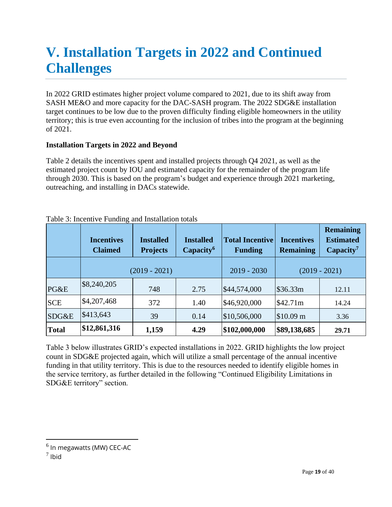## <span id="page-18-0"></span>**V. Installation Targets in 2022 and Continued Challenges**

In 2022 GRID estimates higher project volume compared to 2021, due to its shift away from SASH ME&O and more capacity for the DAC-SASH program. The 2022 SDG&E installation target continues to be low due to the proven difficulty finding eligible homeowners in the utility territory; this is true even accounting for the inclusion of tribes into the program at the beginning of 2021.

## <span id="page-18-1"></span>**Installation Targets in 2022 and Beyond**

Table 2 details the incentives spent and installed projects through Q4 2021, as well as the estimated project count by IOU and estimated capacity for the remainder of the program life through 2030. This is based on the program's budget and experience through 2021 marketing, outreaching, and installing in DACs statewide.

|              | <b>Incentives</b><br><b>Claimed</b> | <b>Installed</b><br><b>Projects</b> | <b>Installed</b><br>Capacity <sup>6</sup> | <b>Total Incentive</b><br><b>Funding</b> | <b>Incentives</b><br><b>Remaining</b> | <b>Remaining</b><br><b>Estimated</b><br>Capacity <sup>7</sup> |
|--------------|-------------------------------------|-------------------------------------|-------------------------------------------|------------------------------------------|---------------------------------------|---------------------------------------------------------------|
|              |                                     | $(2019 - 2021)$                     |                                           | $2019 - 2030$                            |                                       | $(2019 - 2021)$                                               |
| PG&E         | \$8,240,205                         | 748                                 | 2.75                                      | \$44,574,000                             | \$36.33m                              | 12.11                                                         |
| <b>SCE</b>   | \$4,207,468                         | 372                                 | 1.40                                      | \$46,920,000                             | \$42.71m                              | 14.24                                                         |
| SDG&E        | \$413,643                           | 39                                  | 0.14                                      | \$10,506,000                             | \$10.09 m                             | 3.36                                                          |
| <b>Total</b> | \$12,861,316                        | 1,159                               | 4.29                                      | \$102,000,000                            | \$89,138,685                          | 29.71                                                         |

| Table 3: Incentive Funding and Installation totals |  |
|----------------------------------------------------|--|
|----------------------------------------------------|--|

Table 3 below illustrates GRID's expected installations in 2022. GRID highlights the low project count in SDG&E projected again, which will utilize a small percentage of the annual incentive funding in that utility territory. This is due to the resources needed to identify eligible homes in the service territory, as further detailed in the following "Continued Eligibility Limitations in SDG&E territory" section.

 $^6$  In megawatts (MW) CEC-AC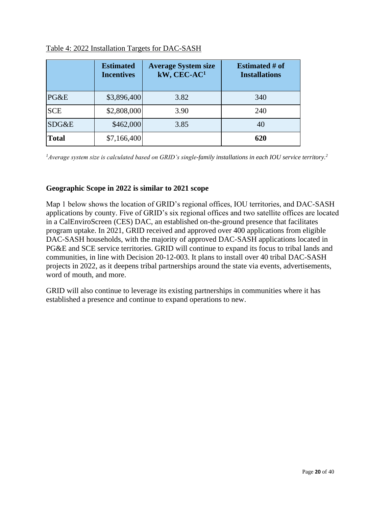|              | <b>Estimated</b><br><b>Incentives</b> | <b>Average System size</b><br>kW, CEC-AC1 | <b>Estimated # of</b><br><b>Installations</b> |
|--------------|---------------------------------------|-------------------------------------------|-----------------------------------------------|
| PG&E         | \$3,896,400                           | 3.82                                      | 340                                           |
| <b>SCE</b>   | \$2,808,000                           | 3.90                                      | 240                                           |
| SDG&E        | \$462,000                             | 3.85                                      | 40                                            |
| <b>Total</b> | \$7,166,400                           |                                           | 620                                           |

#### Table 4: 2022 Installation Targets for DAC-SASH

*<sup>1</sup>Average system size is calculated based on GRID's single-family installations in each IOU service territory.<sup>2</sup>*

#### <span id="page-19-0"></span>**Geographic Scope in 2022 is similar to 2021 scope**

Map 1 below shows the location of GRID's regional offices, IOU territories, and DAC-SASH applications by county. Five of GRID's six regional offices and two satellite offices are located in a CalEnviroScreen (CES) DAC, an established on-the-ground presence that facilitates program uptake. In 2021, GRID received and approved over 400 applications from eligible DAC-SASH households, with the majority of approved DAC-SASH applications located in PG&E and SCE service territories. GRID will continue to expand its focus to tribal lands and communities, in line with Decision 20-12-003. It plans to install over 40 tribal DAC-SASH projects in 2022, as it deepens tribal partnerships around the state via events, advertisements, word of mouth, and more.

GRID will also continue to leverage its existing partnerships in communities where it has established a presence and continue to expand operations to new.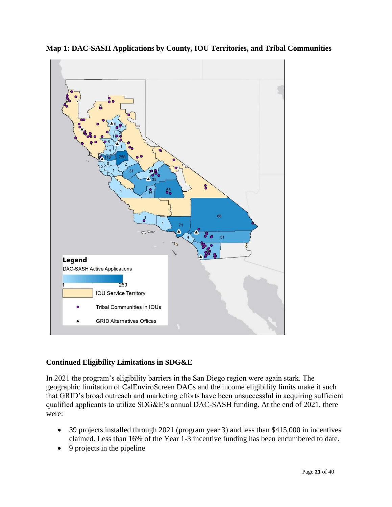

**Map 1: DAC-SASH Applications by County, IOU Territories, and Tribal Communities**

## <span id="page-20-0"></span>**Continued Eligibility Limitations in SDG&E**

In 2021 the program's eligibility barriers in the San Diego region were again stark. The geographic limitation of CalEnviroScreen DACs and the income eligibility limits make it such that GRID's broad outreach and marketing efforts have been unsuccessful in acquiring sufficient qualified applicants to utilize SDG&E's annual DAC-SASH funding. At the end of 2021, there were:

- 39 projects installed through 2021 (program year 3) and less than \$415,000 in incentives claimed. Less than 16% of the Year 1-3 incentive funding has been encumbered to date.
- 9 projects in the pipeline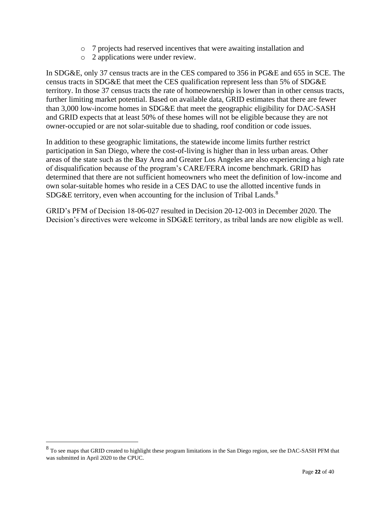- o 7 projects had reserved incentives that were awaiting installation and
- o 2 applications were under review.

In SDG&E, only 37 census tracts are in the CES compared to 356 in PG&E and 655 in SCE. The census tracts in SDG&E that meet the CES qualification represent less than 5% of SDG&E territory. In those 37 census tracts the rate of homeownership is lower than in other census tracts, further limiting market potential. Based on available data, GRID estimates that there are fewer than 3,000 low-income homes in SDG&E that meet the geographic eligibility for DAC-SASH and GRID expects that at least 50% of these homes will not be eligible because they are not owner-occupied or are not solar-suitable due to shading, roof condition or code issues.

In addition to these geographic limitations, the statewide income limits further restrict participation in San Diego, where the cost-of-living is higher than in less urban areas. Other areas of the state such as the Bay Area and Greater Los Angeles are also experiencing a high rate of disqualification because of the program's CARE/FERA income benchmark. GRID has determined that there are not sufficient homeowners who meet the definition of low-income and own solar-suitable homes who reside in a CES DAC to use the allotted incentive funds in SDG&E territory, even when accounting for the inclusion of Tribal Lands.<sup>8</sup>

GRID's PFM of Decision 18-06-027 resulted in Decision 20-12-003 in December 2020. The Decision's directives were welcome in SDG&E territory, as tribal lands are now eligible as well.

<sup>&</sup>lt;sup>8</sup> To see maps that GRID created to highlight these program limitations in the San Diego region, see the DAC-SASH PFM that was submitted in April 2020 to the CPUC.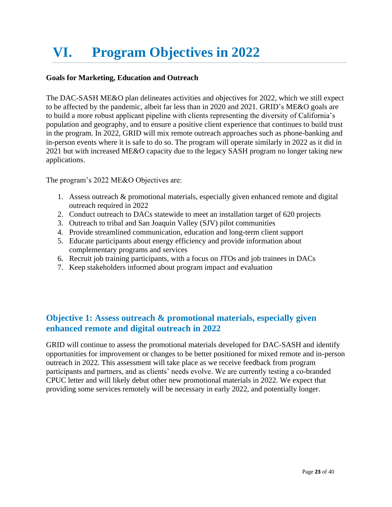# <span id="page-22-0"></span>**VI. Program Objectives in 2022**

#### <span id="page-22-1"></span>**Goals for Marketing, Education and Outreach**

The DAC-SASH ME&O plan delineates activities and objectives for 2022, which we still expect to be affected by the pandemic, albeit far less than in 2020 and 2021. GRID's ME&O goals are to build a more robust applicant pipeline with clients representing the diversity of California's population and geography, and to ensure a positive client experience that continues to build trust in the program. In 2022, GRID will mix remote outreach approaches such as phone-banking and in-person events where it is safe to do so. The program will operate similarly in 2022 as it did in 2021 but with increased ME&O capacity due to the legacy SASH program no longer taking new applications.

The program's 2022 ME&O Objectives are:

- 1. Assess outreach & promotional materials, especially given enhanced remote and digital outreach required in 2022
- 2. Conduct outreach to DACs statewide to meet an installation target of 620 projects
- 3. Outreach to tribal and San Joaquin Valley (SJV) pilot communities
- 4. Provide streamlined communication, education and long-term client support
- 5. Educate participants about energy efficiency and provide information about complementary programs and services
- 6. Recruit job training participants, with a focus on JTOs and job trainees in DACs
- 7. Keep stakeholders informed about program impact and evaluation

## <span id="page-22-2"></span>**Objective 1: Assess outreach & promotional materials, especially given enhanced remote and digital outreach in 2022**

GRID will continue to assess the promotional materials developed for DAC-SASH and identify opportunities for improvement or changes to be better positioned for mixed remote and in-person outreach in 2022. This assessment will take place as we receive feedback from program participants and partners, and as clients' needs evolve. We are currently testing a co-branded CPUC letter and will likely debut other new promotional materials in 2022. We expect that providing some services remotely will be necessary in early 2022, and potentially longer.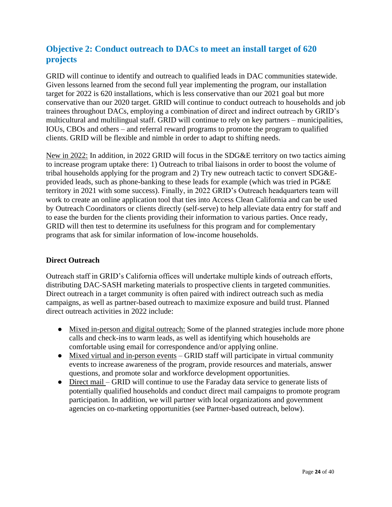## <span id="page-23-0"></span>**Objective 2: Conduct outreach to DACs to meet an install target of 620 projects**

GRID will continue to identify and outreach to qualified leads in DAC communities statewide. Given lessons learned from the second full year implementing the program, our installation target for 2022 is 620 installations, which is less conservative than our 2021 goal but more conservative than our 2020 target. GRID will continue to conduct outreach to households and job trainees throughout DACs, employing a combination of direct and indirect outreach by GRID's multicultural and multilingual staff. GRID will continue to rely on key partners – municipalities, IOUs, CBOs and others – and referral reward programs to promote the program to qualified clients. GRID will be flexible and nimble in order to adapt to shifting needs.

New in 2022: In addition, in 2022 GRID will focus in the SDG&E territory on two tactics aiming to increase program uptake there: 1) Outreach to tribal liaisons in order to boost the volume of tribal households applying for the program and 2) Try new outreach tactic to convert SDG&Eprovided leads, such as phone-banking to these leads for example (which was tried in PG&E territory in 2021 with some success). Finally, in 2022 GRID's Outreach headquarters team will work to create an online application tool that ties into Access Clean California and can be used by Outreach Coordinators or clients directly (self-serve) to help alleviate data entry for staff and to ease the burden for the clients providing their information to various parties. Once ready, GRID will then test to determine its usefulness for this program and for complementary programs that ask for similar information of low-income households.

## <span id="page-23-1"></span>**Direct Outreach**

Outreach staff in GRID's California offices will undertake multiple kinds of outreach efforts, distributing DAC-SASH marketing materials to prospective clients in targeted communities. Direct outreach in a target community is often paired with indirect outreach such as media campaigns, as well as partner-based outreach to maximize exposure and build trust. Planned direct outreach activities in 2022 include:

- Mixed in-person and digital outreach: Some of the planned strategies include more phone calls and check-ins to warm leads, as well as identifying which households are comfortable using email for correspondence and/or applying online.
- Mixed virtual and in-person events GRID staff will participate in virtual community events to increase awareness of the program, provide resources and materials, answer questions, and promote solar and workforce development opportunities.
- Direct mail GRID will continue to use the Faraday data service to generate lists of potentially qualified households and conduct direct mail campaigns to promote program participation. In addition, we will partner with local organizations and government agencies on co-marketing opportunities (see Partner-based outreach, below).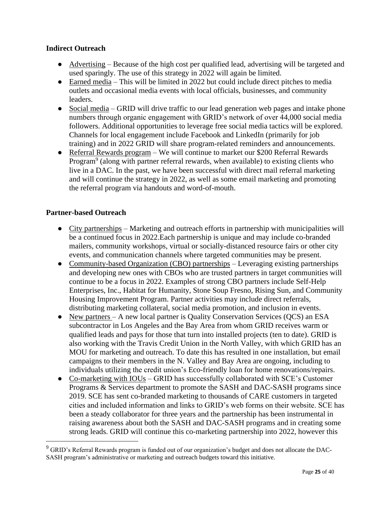## <span id="page-24-0"></span>**Indirect Outreach**

- Advertising Because of the high cost per qualified lead, advertising will be targeted and used sparingly. The use of this strategy in 2022 will again be limited.
- Earned media This will be limited in 2022 but could include direct pitches to media outlets and occasional media events with local officials, businesses, and community leaders.
- Social media GRID will drive traffic to our lead generation web pages and intake phone numbers through organic engagement with GRID's network of over 44,000 social media followers. Additional opportunities to leverage free social media tactics will be explored. Channels for local engagement include Facebook and LinkedIn (primarily for job training) and in 2022 GRID will share program-related reminders and announcements.
- Referral Rewards program We will continue to market our \$200 Referral Rewards Program<sup>9</sup> (along with partner referral rewards, when available) to existing clients who live in a DAC. In the past, we have been successful with direct mail referral marketing and will continue the strategy in 2022, as well as some email marketing and promoting the referral program via handouts and word-of-mouth.

#### <span id="page-24-1"></span>**Partner-based Outreach**

- City partnerships Marketing and outreach efforts in partnership with municipalities will be a continued focus in 2022.Each partnership is unique and may include co-branded mailers, community workshops, virtual or socially-distanced resource fairs or other city events, and communication channels where targeted communities may be present.
- Community-based Organization (CBO) partnerships Leveraging existing partnerships and developing new ones with CBOs who are trusted partners in target communities will continue to be a focus in 2022. Examples of strong CBO partners include Self-Help Enterprises, Inc., Habitat for Humanity, Stone Soup Fresno, Rising Sun, and Community Housing Improvement Program. Partner activities may include direct referrals, distributing marketing collateral, social media promotion, and inclusion in events.
- New partners A new local partner is Quality Conservation Services (QCS) an ESA subcontractor in Los Angeles and the Bay Area from whom GRID receives warm or qualified leads and pays for those that turn into installed projects (ten to date). GRID is also working with the Travis Credit Union in the North Valley, with which GRID has an MOU for marketing and outreach. To date this has resulted in one installation, but email campaigns to their members in the N. Valley and Bay Area are ongoing, including to individuals utilizing the credit union's Eco-friendly loan for home renovations/repairs.
- Co-marketing with IOUs GRID has successfully collaborated with SCE's Customer Programs & Services department to promote the SASH and DAC-SASH programs since 2019. SCE has sent co-branded marketing to thousands of CARE customers in targeted cities and included information and links to GRID's web forms on their website. SCE has been a steady collaborator for three years and the partnership has been instrumental in raising awareness about both the SASH and DAC-SASH programs and in creating some strong leads. GRID will continue this co-marketing partnership into 2022, however this

<sup>&</sup>lt;sup>9</sup> GRID's Referral Rewards program is funded out of our organization's budget and does not allocate the DAC-SASH program's administrative or marketing and outreach budgets toward this initiative.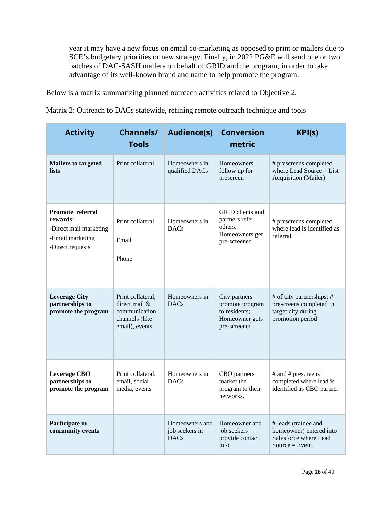year it may have a new focus on email co-marketing as opposed to print or mailers due to SCE's budgetary priorities or new strategy. Finally, in 2022 PG&E will send one or two batches of DAC-SASH mailers on behalf of GRID and the program, in order to take advantage of its well-known brand and name to help promote the program.

Below is a matrix summarizing planned outreach activities related to Objective 2.

Matrix 2: Outreach to DACs statewide, refining remote outreach technique and tools

| <b>Activity</b>                                                                                | <b>Channels/</b><br><b>Tools</b>                                                        | <b>Audience(s)</b>                              | <b>Conversion</b><br>metric                                                         | KPI(s)                                                                                         |
|------------------------------------------------------------------------------------------------|-----------------------------------------------------------------------------------------|-------------------------------------------------|-------------------------------------------------------------------------------------|------------------------------------------------------------------------------------------------|
| <b>Mailers to targeted</b><br><b>lists</b>                                                     | Print collateral                                                                        | Homeowners in<br>qualified DACs                 | <b>Homeowners</b><br>follow up for<br>prescreen                                     | # prescreens completed<br>where Lead Source $=$ List<br>Acquisition (Mailer)                   |
| Promote referral<br>rewards:<br>-Direct mail marketing<br>-Email marketing<br>-Direct requests | Print collateral<br>Email<br>Phone                                                      | Homeowners in<br><b>DACs</b>                    | GRID clients and<br>partners refer<br>others;<br>Homeowners get<br>pre-screened     | # prescreens completed<br>where lead is identified as<br>referral                              |
| <b>Leverage City</b><br>partnerships to<br>promote the program                                 | Print collateral,<br>direct mail &<br>communication<br>channels (like<br>email), events | Homeowners in<br><b>DACs</b>                    | City partners<br>promote program<br>to residents;<br>Homeowner gets<br>pre-screened | # of city partnerships; #<br>prescreens completed in<br>target city during<br>promotion period |
| <b>Leverage CBO</b><br>partnerships to<br>promote the program                                  | Print collateral,<br>email, social<br>media, events                                     | Homeowners in<br><b>DACs</b>                    | CBO partners<br>market the<br>program to their<br>networks.                         | # and # prescreens<br>completed where lead is<br>identified as CBO partner                     |
| Participate in<br>community events                                                             |                                                                                         | Homeowners and<br>job seekers in<br><b>DACs</b> | Homeowner and<br>job seekers<br>provide contact<br>info                             | # leads (trainee and<br>homeowner) entered into<br>Salesforce where Lead<br>Source = $Event$   |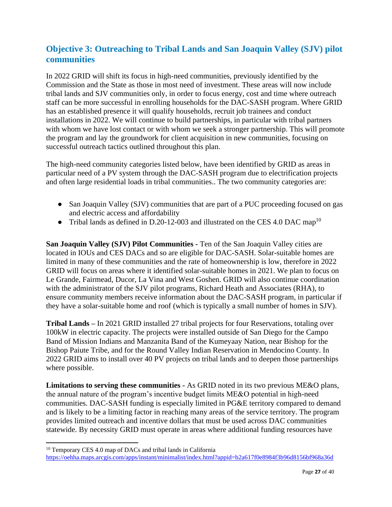## <span id="page-26-0"></span>**Objective 3: Outreaching to Tribal Lands and San Joaquin Valley (SJV) pilot communities**

In 2022 GRID will shift its focus in high-need communities, previously identified by the Commission and the State as those in most need of investment. These areas will now include tribal lands and SJV communities only, in order to focus energy, cost and time where outreach staff can be more successful in enrolling households for the DAC-SASH program. Where GRID has an established presence it will qualify households, recruit job trainees and conduct installations in 2022. We will continue to build partnerships, in particular with tribal partners with whom we have lost contact or with whom we seek a stronger partnership. This will promote the program and lay the groundwork for client acquisition in new communities, focusing on successful outreach tactics outlined throughout this plan.

The high-need community categories listed below, have been identified by GRID as areas in particular need of a PV system through the DAC-SASH program due to electrification projects and often large residential loads in tribal communities.. The two community categories are:

- San Joaquin Valley (SJV) communities that are part of a PUC proceeding focused on gas and electric access and affordability
- Tribal lands as defined in D.20-12-003 and illustrated on the CES 4.0 DAC map<sup>10</sup>

**San Joaquin Valley (SJV) Pilot Communities -** Ten of the San Joaquin Valley cities are located in IOUs and CES DACs and so are eligible for DAC-SASH. Solar-suitable homes are limited in many of these communities and the rate of homeownership is low, therefore in 2022 GRID will focus on areas where it identified solar-suitable homes in 2021. We plan to focus on Le Grande, Fairmead, Ducor, La Vina and West Goshen. GRID will also continue coordination with the administrator of the SJV pilot programs, Richard Heath and Associates (RHA), to ensure community members receive information about the DAC-SASH program, in particular if they have a solar-suitable home and roof (which is typically a small number of homes in SJV).

**Tribal Lands –** In 2021 GRID installed 27 tribal projects for four Reservations, totaling over 100kW in electric capacity. The projects were installed outside of San Diego for the Campo Band of Mission Indians and Manzanita Band of the Kumeyaay Nation, near Bishop for the Bishop Paiute Tribe, and for the Round Valley Indian Reservation in Mendocino County. In 2022 GRID aims to install over 40 PV projects on tribal lands and to deepen those partnerships where possible.

**Limitations to serving these communities -** As GRID noted in its two previous ME&O plans, the annual nature of the program's incentive budget limits ME&O potential in high-need communities. DAC-SASH funding is especially limited in PG&E territory compared to demand and is likely to be a limiting factor in reaching many areas of the service territory. The program provides limited outreach and incentive dollars that must be used across DAC communities statewide. By necessity GRID must operate in areas where additional funding resources have

<sup>&</sup>lt;sup>10</sup> Temporary CES 4.0 map of DACs and tribal lands in California <https://oehha.maps.arcgis.com/apps/instant/minimalist/index.html?appid=b2a617f0e8984f3b96d8156bf968a36d>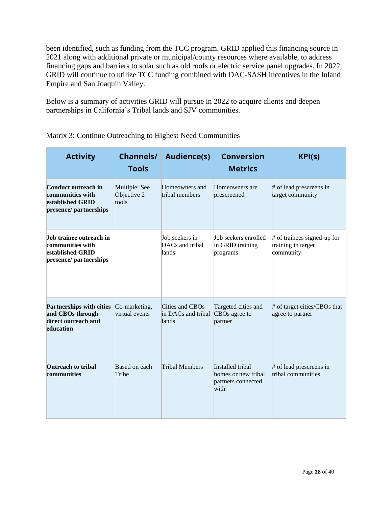been identified, such as funding from the TCC program. GRID applied this financing source in 2021 along with additional private or municipal/county resources where available, to address financing gaps and barriers to solar such as old roofs or electric service panel upgrades. In 2022, GRID will continue to utilize TCC funding combined with DAC-SASH incentives in the Inland Empire and San Joaquin Valley.

Below is a summary of activities GRID will pursue in 2022 to acquire clients and deepen partnerships in California's Tribal lands and SJV communities.

<span id="page-27-0"></span>

| <b>Activity</b>                                                                              | <b>Channels/</b><br><b>Tools</b>      | <b>Audience(s)</b>                             | <b>Conversion</b><br><b>Metrics</b>                                   | KPI(s)                                                         |
|----------------------------------------------------------------------------------------------|---------------------------------------|------------------------------------------------|-----------------------------------------------------------------------|----------------------------------------------------------------|
| <b>Conduct outreach in</b><br>communities with<br>established GRID<br>presence/ partnerships | Multiple: See<br>Objective 2<br>tools | Homeowners and<br>tribal members               | Homeowners are<br>prescreened                                         | # of lead prescreens in<br>target community                    |
| Job trainee outreach in<br>communities with<br>established GRID<br>presence/ partnerships    |                                       | Job seekers in<br>DACs and tribal<br>lands     | Job seekers enrolled<br>in GRID training<br>programs                  | # of trainees signed-up for<br>training in target<br>community |
| <b>Partnerships with cities</b><br>and CBOs through<br>direct outreach and<br>education      | Co-marketing,<br>virtual events       | Cities and CBOs<br>in DACs and tribal<br>lands | Targeted cities and<br>CBOs agree to<br>partner                       | # of target cities/CBOs that<br>agree to partner               |
| <b>Outreach to tribal</b><br>communities                                                     | Based on each<br>Tribe                | <b>Tribal Members</b>                          | Installed tribal<br>homes or new tribal<br>partners connected<br>with | # of lead prescreens in<br>tribal communities                  |

| Matrix 3: Continue Outreaching to Highest Need Communities |
|------------------------------------------------------------|
|                                                            |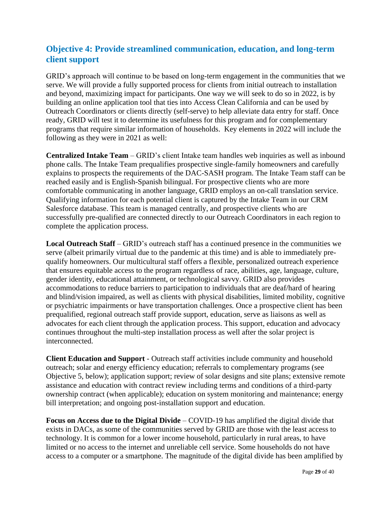## **Objective 4: Provide streamlined communication, education, and long-term client support**

GRID's approach will continue to be based on long-term engagement in the communities that we serve. We will provide a fully supported process for clients from initial outreach to installation and beyond, maximizing impact for participants. One way we will seek to do so in 2022, is by building an online application tool that ties into Access Clean California and can be used by Outreach Coordinators or clients directly (self-serve) to help alleviate data entry for staff. Once ready, GRID will test it to determine its usefulness for this program and for complementary programs that require similar information of households. Key elements in 2022 will include the following as they were in 2021 as well:

**Centralized Intake Team** – GRID's client Intake team handles web inquiries as well as inbound phone calls. The Intake Team prequalifies prospective single-family homeowners and carefully explains to prospects the requirements of the DAC-SASH program. The Intake Team staff can be reached easily and is English-Spanish bilingual. For prospective clients who are more comfortable communicating in another language, GRID employs an on-call translation service. Qualifying information for each potential client is captured by the Intake Team in our CRM Salesforce database. This team is managed centrally, and prospective clients who are successfully pre-qualified are connected directly to our Outreach Coordinators in each region to complete the application process.

**Local Outreach Staff** – GRID's outreach staff has a continued presence in the communities we serve (albeit primarily virtual due to the pandemic at this time) and is able to immediately prequalify homeowners. Our multicultural staff offers a flexible, personalized outreach experience that ensures equitable access to the program regardless of race, abilities, age, language, culture, gender identity, educational attainment, or technological savvy. GRID also provides accommodations to reduce barriers to participation to individuals that are deaf/hard of hearing and blind/vision impaired, as well as clients with physical disabilities, limited mobility, cognitive or psychiatric impairments or have transportation challenge*s.* Once a prospective client has been prequalified, regional outreach staff provide support, education, serve as liaisons as well as advocates for each client through the application process. This support, education and advocacy continues throughout the multi-step installation process as well after the solar project is interconnected.

**Client Education and Support** - Outreach staff activities include community and household outreach; solar and energy efficiency education; referrals to complementary programs (see Objective 5, below); application support; review of solar designs and site plans; extensive remote assistance and education with contract review including terms and conditions of a third-party ownership contract (when applicable); education on system monitoring and maintenance; energy bill interpretation; and ongoing post-installation support and education.

**Focus on Access due to the Digital Divide** – COVID-19 has amplified the digital divide that exists in DACs, as some of the communities served by GRID are those with the least access to technology. It is common for a lower income household, particularly in rural areas, to have limited or no access to the internet and unreliable cell service. Some households do not have access to a computer or a smartphone. The magnitude of the digital divide has been amplified by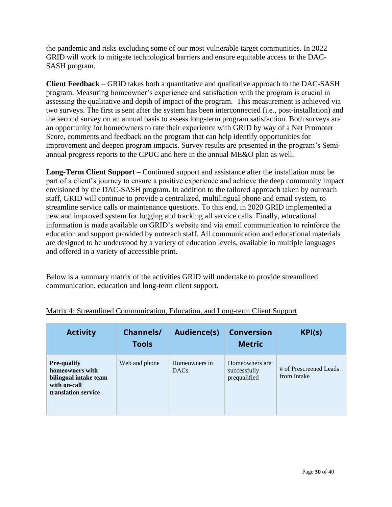the pandemic and risks excluding some of our most vulnerable target communities. In 2022 GRID will work to mitigate technological barriers and ensure equitable access to the DAC-SASH program.

**Client Feedback** – GRID takes both a quantitative and qualitative approach to the DAC-SASH program. Measuring homeowner's experience and satisfaction with the program is crucial in assessing the qualitative and depth of impact of the program. This measurement is achieved via two surveys. The first is sent after the system has been interconnected (i.e., post-installation) and the second survey on an annual basis to assess long-term program satisfaction. Both surveys are an opportunity for homeowners to rate their experience with GRID by way of a Net Promoter Score, comments and feedback on the program that can help identify opportunities for improvement and deepen program impacts. Survey results are presented in the program's Semiannual progress reports to the CPUC and here in the annual ME&O plan as well.

**Long-Term Client Support** – Continued support and assistance after the installation must be part of a client's journey to ensure a positive experience and achieve the deep community impact envisioned by the DAC-SASH program. In addition to the tailored approach taken by outreach staff, GRID will continue to provide a centralized, multilingual phone and email system, to streamline service calls or maintenance questions. To this end, in 2020 GRID implemented a new and improved system for logging and tracking all service calls. Finally, educational information is made available on GRID's website and via email communication to reinforce the education and support provided by outreach staff. All communication and educational materials are designed to be understood by a variety of education levels, available in multiple languages and offered in a variety of accessible print.

Below is a summary matrix of the activities GRID will undertake to provide streamlined communication, education and long-term client support.

| <b>Activity</b>                                                                                       | <b>Channels/</b><br><b>Tools</b> | <b>Audience(s)</b>           | <b>Conversion</b><br><b>Metric</b>             | KPI(s)                                |
|-------------------------------------------------------------------------------------------------------|----------------------------------|------------------------------|------------------------------------------------|---------------------------------------|
| <b>Pre-qualify</b><br>homeowners with<br>bilingual intake team<br>with on-call<br>translation service | Web and phone                    | Homeowners in<br><b>DACs</b> | Homeowners are<br>successfully<br>prequalified | # of Prescreened Leads<br>from Intake |

#### Matrix 4: Streamlined Communication, Education, and Long-term Client Support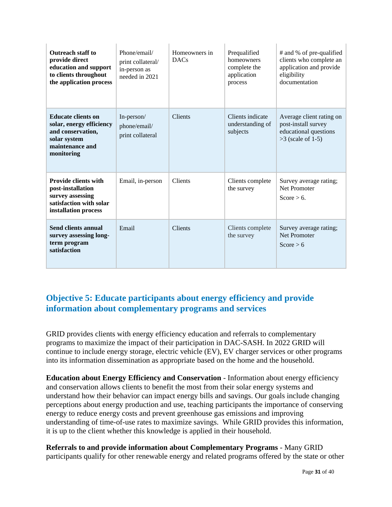| <b>Outreach staff to</b><br>provide direct<br>education and support<br>to clients throughout<br>the application process     | Phone/email/<br>Homeowners in<br><b>DACs</b><br>print collateral/<br>in-person as<br>needed in 2021 |                | Prequalified<br>homeowners<br>complete the<br>application<br>process | # and % of pre-qualified<br>clients who complete an<br>application and provide<br>eligibility<br>documentation |  |  |
|-----------------------------------------------------------------------------------------------------------------------------|-----------------------------------------------------------------------------------------------------|----------------|----------------------------------------------------------------------|----------------------------------------------------------------------------------------------------------------|--|--|
| <b>Educate clients on</b><br>solar, energy efficiency<br>and conservation,<br>solar system<br>maintenance and<br>monitoring | In-person/<br>phone/email/<br>print collateral                                                      | <b>Clients</b> | Clients indicate<br>understanding of<br>subjects                     | Average client rating on<br>post-install survey<br>educational questions<br>$>3$ (scale of 1-5)                |  |  |
| <b>Provide clients with</b><br>post-installation<br>survey assessing<br>satisfaction with solar<br>installation process     | Email, in-person                                                                                    | <b>Clients</b> | Clients complete<br>the survey                                       | Survey average rating;<br>Net Promoter<br>Score $> 6$ .                                                        |  |  |
| <b>Send clients annual</b><br>survey assessing long-<br>term program<br>satisfaction                                        | Email                                                                                               | <b>Clients</b> | Clients complete<br>the survey                                       | Survey average rating;<br>Net Promoter<br>Score > 6                                                            |  |  |

## <span id="page-30-0"></span>**Objective 5: Educate participants about energy efficiency and provide information about complementary programs and services**

GRID provides clients with energy efficiency education and referrals to complementary programs to maximize the impact of their participation in DAC-SASH. In 2022 GRID will continue to include energy storage, electric vehicle (EV), EV charger services or other programs into its information dissemination as appropriate based on the home and the household.

**Education about Energy Efficiency and Conservation** - Information about energy efficiency and conservation allows clients to benefit the most from their solar energy systems and understand how their behavior can impact energy bills and savings. Our goals include changing perceptions about energy production and use, teaching participants the importance of conserving energy to reduce energy costs and prevent greenhouse gas emissions and improving understanding of time-of-use rates to maximize savings. While GRID provides this information, it is up to the client whether this knowledge is applied in their household.

**Referrals to and provide information about Complementary Programs** - Many GRID participants qualify for other renewable energy and related programs offered by the state or other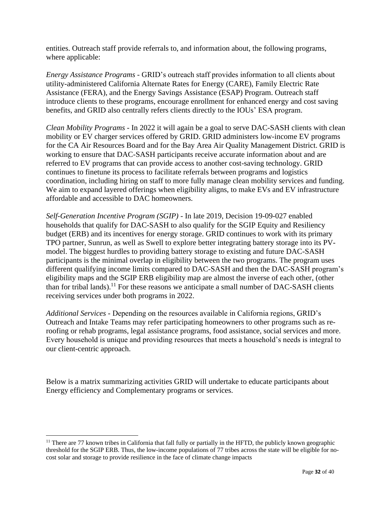entities. Outreach staff provide referrals to, and information about, the following programs, where applicable:

*Energy Assistance Programs -* GRID's outreach staff provides information to all clients about utility-administered California Alternate Rates for Energy (CARE), Family Electric Rate Assistance (FERA), and the Energy Savings Assistance (ESAP) Program. Outreach staff introduce clients to these programs, encourage enrollment for enhanced energy and cost saving benefits, and GRID also centrally refers clients directly to the IOUs' ESA program.

*Clean Mobility Programs -* In 2022 it will again be a goal to serve DAC-SASH clients with clean mobility or EV charger services offered by GRID. GRID administers low-income EV programs for the CA Air Resources Board and for the Bay Area Air Quality Management District. GRID is working to ensure that DAC-SASH participants receive accurate information about and are referred to EV programs that can provide access to another cost-saving technology. GRID continues to finetune its process to facilitate referrals between programs and logistics coordination, including hiring on staff to more fully manage clean mobility services and funding. We aim to expand layered offerings when eligibility aligns, to make EVs and EV infrastructure affordable and accessible to DAC homeowners.

*Self-Generation Incentive Program (SGIP)* - In late 2019, Decision 19-09-027 enabled households that qualify for DAC-SASH to also qualify for the SGIP Equity and Resiliency budget (ERB) and its incentives for energy storage. GRID continues to work with its primary TPO partner, Sunrun, as well as Swell to explore better integrating battery storage into its PVmodel. The biggest hurdles to providing battery storage to existing and future DAC-SASH participants is the minimal overlap in eligibility between the two programs. The program uses different qualifying income limits compared to DAC-SASH and then the DAC-SASH program's eligibility maps and the SGIP ERB eligibility map are almost the inverse of each other, (other than for tribal lands).<sup>11</sup> For these reasons we anticipate a small number of DAC-SASH clients receiving services under both programs in 2022.

*Additional Services -* Depending on the resources available in California regions, GRID's Outreach and Intake Teams may refer participating homeowners to other programs such as reroofing or rehab programs, legal assistance programs, food assistance, social services and more. Every household is unique and providing resources that meets a household's needs is integral to our client-centric approach.

Below is a matrix summarizing activities GRID will undertake to educate participants about Energy efficiency and Complementary programs or services.

 $11$  There are 77 known tribes in California that fall fully or partially in the HFTD, the publicly known geographic threshold for the SGIP ERB. Thus, the low-income populations of 77 tribes across the state will be eligible for nocost solar and storage to provide resilience in the face of climate change impacts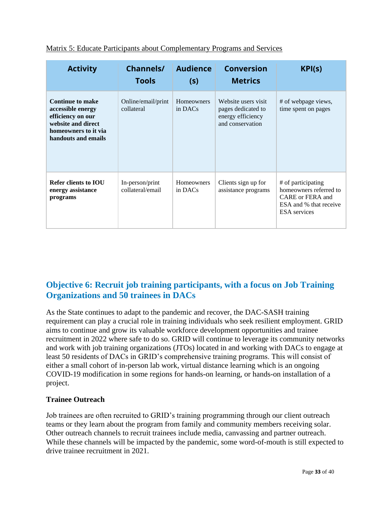| <b>Activity</b>                                                                                                                        | Channels/<br><b>Tools</b>           | <b>Audience</b><br>(s)       | <b>Conversion</b><br>KPI(s)<br><b>Metrics</b>                                      |                                                                                                                   |  |  |
|----------------------------------------------------------------------------------------------------------------------------------------|-------------------------------------|------------------------------|------------------------------------------------------------------------------------|-------------------------------------------------------------------------------------------------------------------|--|--|
| <b>Continue to make</b><br>accessible energy<br>efficiency on our<br>website and direct<br>homeowners to it via<br>handouts and emails | Online/email/print<br>collateral    | <b>Homeowners</b><br>in DACs | Website users visit<br>pages dedicated to<br>energy efficiency<br>and conservation | # of webpage views,<br>time spent on pages                                                                        |  |  |
| Refer clients to <b>IOU</b><br>energy assistance<br>programs                                                                           | In-person/print<br>collateral/email | <b>Homeowners</b><br>in DACs | Clients sign up for<br>assistance programs                                         | # of participating<br>homeowners referred to<br>CARE or FERA and<br>ESA and % that receive<br><b>ESA</b> services |  |  |

| Matrix 5: Educate Participants about Complementary Programs and Services |
|--------------------------------------------------------------------------|
|--------------------------------------------------------------------------|

## <span id="page-32-0"></span>**Objective 6: Recruit job training participants, with a focus on Job Training Organizations and 50 trainees in DACs**

As the State continues to adapt to the pandemic and recover, the DAC-SASH training requirement can play a crucial role in training individuals who seek resilient employment. GRID aims to continue and grow its valuable workforce development opportunities and trainee recruitment in 2022 where safe to do so. GRID will continue to leverage its community networks and work with job training organizations (JTOs) located in and working with DACs to engage at least 50 residents of DACs in GRID's comprehensive training programs. This will consist of either a small cohort of in-person lab work, virtual distance learning which is an ongoing COVID-19 modification in some regions for hands-on learning, or hands-on installation of a project.

## <span id="page-32-1"></span>**Trainee Outreach**

Job trainees are often recruited to GRID's training programming through our client outreach teams or they learn about the program from family and community members receiving solar. Other outreach channels to recruit trainees include media, canvassing and partner outreach. While these channels will be impacted by the pandemic, some word-of-mouth is still expected to drive trainee recruitment in 2021.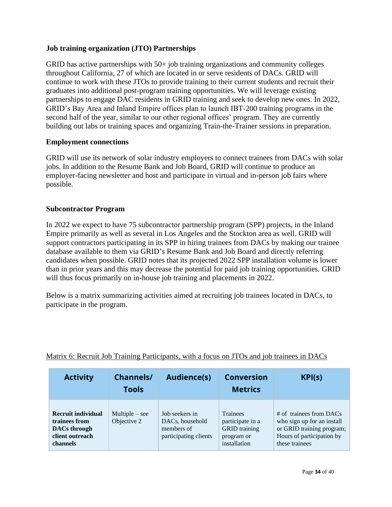#### <span id="page-33-0"></span>**Job training organization (JTO) Partnerships**

GRID has active partnerships with 50+ job training organizations and community colleges throughout California, 27 of which are located in or serve residents of DACs. GRID will continue to work with these JTOs to provide training to their current students and recruit their graduates into additional post-program training opportunities. We will leverage existing partnerships to engage DAC residents in GRID training and seek to develop new ones. In 2022, GRID's Bay Area and Inland Empire offices plan to launch IBT-200 training programs in the second half of the year, similar to our other regional offices' program. They are currently building out labs or training spaces and organizing Train-the-Trainer sessions in preparation.

#### <span id="page-33-1"></span>**Employment connections**

GRID will use its network of solar industry employers to connect trainees from DACs with solar jobs. In addition to the Resume Bank and Job Board, GRID will continue to produce an employer-facing newsletter and host and participate in virtual and in-person job fairs where possible.

#### <span id="page-33-2"></span>**Subcontractor Program**

In 2022 we expect to have 75 subcontractor partnership program (SPP) projects, in the Inland Empire primarily as well as several in Los Angeles and the Stockton area as well. GRID will support contractors participating in its SPP in hiring trainees from DACs by making our trainee database available to them via GRID's Resume Bank and Job Board and directly referring candidates when possible. GRID notes that its projected 2022 SPP installation volume is lower than in prior years and this may decrease the potential for paid job training opportunities. GRID will thus focus primarily on in-house job training and placements in 2022.

Below is a matrix summarizing activities aimed at recruiting job trainees located in DACs, to participate in the program.

| <b>Activity</b>                                                                                  | <b>Channels/</b><br><b>Tools</b> | <b>Audience(s)</b>                                                       | <b>Conversion</b><br><b>Metrics</b>                                                       | KPI(s)                                                                                                                              |
|--------------------------------------------------------------------------------------------------|----------------------------------|--------------------------------------------------------------------------|-------------------------------------------------------------------------------------------|-------------------------------------------------------------------------------------------------------------------------------------|
| <b>Recruit individual</b><br>trainees from<br><b>DACs</b> through<br>client outreach<br>channels | $Multiple - see$<br>Objective 2  | Job seekers in<br>DACs, household<br>members of<br>participating clients | <b>Trainees</b><br>participate in a<br><b>GRID</b> training<br>program or<br>installation | $#$ of trainees from DACs<br>who sign up for an install<br>or GRID training program;<br>Hours of participation by<br>these trainees |

#### Matrix 6: Recruit Job Training Participants, with a focus on JTOs and job trainees in DACs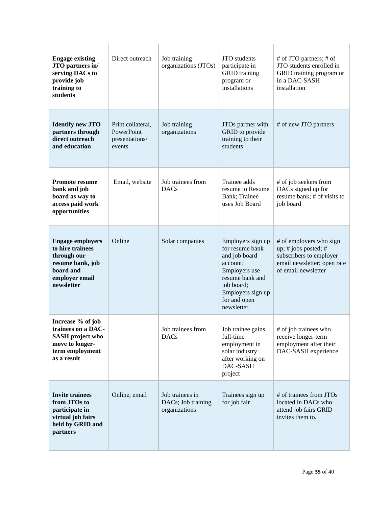| <b>Engage existing</b><br>JTO partners in/<br>serving DACs to<br>provide job<br>training to<br>students                     | Direct outreach                                             | Job training<br>organizations (JTOs)                   | JTO students<br>participate in<br><b>GRID</b> training<br>program or<br>installations                                                                                  | # of JTO partners; # of<br>JTO students enrolled in<br>GRID training program or<br>in a DAC-SASH<br>installation                 |  |
|-----------------------------------------------------------------------------------------------------------------------------|-------------------------------------------------------------|--------------------------------------------------------|------------------------------------------------------------------------------------------------------------------------------------------------------------------------|----------------------------------------------------------------------------------------------------------------------------------|--|
| <b>Identify new JTO</b><br>partners through<br>direct outreach<br>and education                                             | Print collateral,<br>PowerPoint<br>presentations/<br>events | Job training<br>organizations                          | JTOs partner with<br>GRID to provide<br>training to their<br>students                                                                                                  | # of new JTO partners                                                                                                            |  |
| <b>Promote resume</b><br>bank and job<br>board as way to<br>access paid work<br>opportunities                               | Email, website                                              | Job trainees from<br>DACs                              | Trainee adds<br>resume to Resume<br>Bank; Trainee<br>uses Job Board                                                                                                    | # of job seekers from<br>DACs signed up for<br>resume bank; # of visits to<br>job board                                          |  |
| <b>Engage employers</b><br>to hire trainees<br>through our<br>resume bank, job<br>board and<br>employer email<br>newsletter | Online                                                      | Solar companies                                        | Employers sign up<br>for resume bank<br>and job board<br>account;<br>Employers use<br>resume bank and<br>job board;<br>Employers sign up<br>for and open<br>newsletter | # of employers who sign<br>up; # jobs posted; #<br>subscribers to employer<br>email newsletter; open rate<br>of email newsletter |  |
| Increase % of job<br>trainees on a DAC-<br><b>SASH</b> project who<br>move to longer-<br>term employment<br>as a result     |                                                             | Job trainees from<br><b>DACs</b>                       | Job trainee gains<br>full-time<br>employment in<br>solar industry<br>after working on<br>DAC-SASH<br>project                                                           | # of job trainees who<br>receive longer-term<br>employment after their<br>DAC-SASH experience                                    |  |
| <b>Invite trainees</b><br>from JTOs to<br>participate in<br>virtual job fairs<br>held by GRID and<br>partners               | Online, email                                               | Job trainees in<br>DACs; Job training<br>organizations | Trainees sign up<br>for job fair                                                                                                                                       | # of trainees from JTOs<br>located in DACs who<br>attend job fairs GRID<br>invites them to.                                      |  |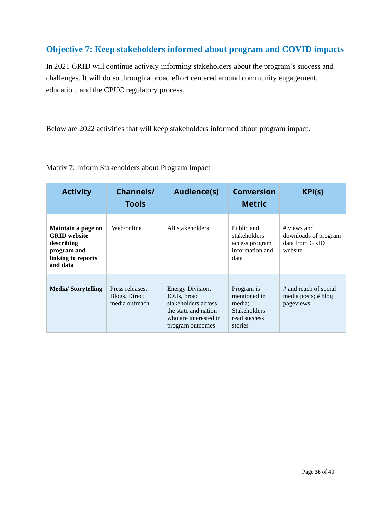## <span id="page-35-0"></span>**Objective 7: Keep stakeholders informed about program and COVID impacts**

In 2021 GRID will continue actively informing stakeholders about the program's success and challenges. It will do so through a broad effort centered around community engagement, education, and the CPUC regulatory process.

Below are 2022 activities that will keep stakeholders informed about program impact.

| <b>Activity</b>                                                                                          | <b>Channels/</b><br><b>Tools</b>                   | <b>Audience(s)</b>                                                                                                                       | <b>Conversion</b><br><b>Metric</b>                                                     | KPI(s)                                                            |
|----------------------------------------------------------------------------------------------------------|----------------------------------------------------|------------------------------------------------------------------------------------------------------------------------------------------|----------------------------------------------------------------------------------------|-------------------------------------------------------------------|
| Maintain a page on<br><b>GRID</b> website<br>describing<br>program and<br>linking to reports<br>and data | Web/online                                         | All stakeholders                                                                                                                         | Public and<br>stakeholders<br>access program<br>information and<br>data                | # views and<br>downloads of program<br>data from GRID<br>website. |
| <b>Media/Storytelling</b>                                                                                | Press releases.<br>Blogs, Direct<br>media outreach | Energy Division,<br>IOU <sub>s</sub> , broad<br>stakeholders across<br>the state and nation<br>who are interested in<br>program outcomes | Program is<br>mentioned in<br>media:<br><b>Stakeholders</b><br>read success<br>stories | # and reach of social<br>media posts; # blog<br>pageviews         |

## Matrix 7: Inform Stakeholders about Program Impact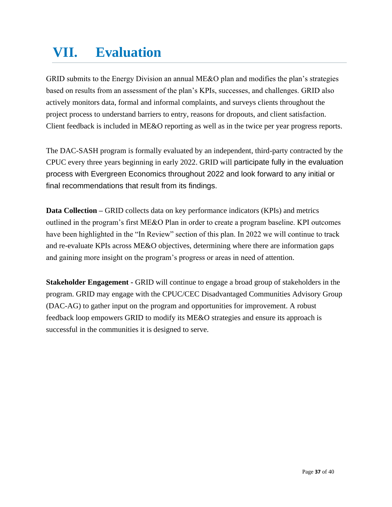## <span id="page-36-0"></span>**VII. Evaluation**

GRID submits to the Energy Division an annual ME&O plan and modifies the plan's strategies based on results from an assessment of the plan's KPIs, successes, and challenges. GRID also actively monitors data, formal and informal complaints, and surveys clients throughout the project process to understand barriers to entry, reasons for dropouts, and client satisfaction. Client feedback is included in ME&O reporting as well as in the twice per year progress reports.

The DAC-SASH program is formally evaluated by an independent, third-party contracted by the CPUC every three years beginning in early 2022. GRID will participate fully in the evaluation process with Evergreen Economics throughout 2022 and look forward to any initial or final recommendations that result from its findings.

**Data Collection –** GRID collects data on key performance indicators (KPIs) and metrics outlined in the program's first ME&O Plan in order to create a program baseline. KPI outcomes have been highlighted in the "In Review" section of this plan. In 2022 we will continue to track and re-evaluate KPIs across ME&O objectives, determining where there are information gaps and gaining more insight on the program's progress or areas in need of attention.

**Stakeholder Engagement -** GRID will continue to engage a broad group of stakeholders in the program. GRID may engage with the CPUC/CEC Disadvantaged Communities Advisory Group (DAC-AG) to gather input on the program and opportunities for improvement. A robust feedback loop empowers GRID to modify its ME&O strategies and ensure its approach is successful in the communities it is designed to serve.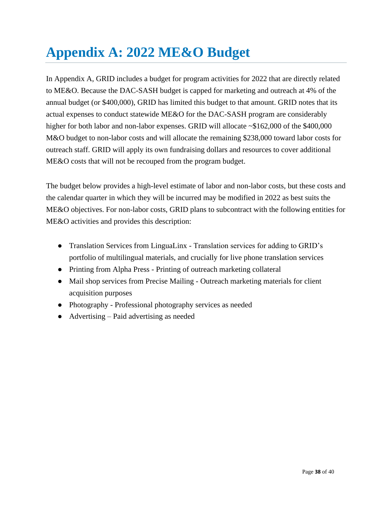# <span id="page-37-0"></span>**Appendix A: 2022 ME&O Budget**

In Appendix A, GRID includes a budget for program activities for 2022 that are directly related to ME&O. Because the DAC-SASH budget is capped for marketing and outreach at 4% of the annual budget (or \$400,000), GRID has limited this budget to that amount. GRID notes that its actual expenses to conduct statewide ME&O for the DAC-SASH program are considerably higher for both labor and non-labor expenses. GRID will allocate ~\$162,000 of the \$400,000 M&O budget to non-labor costs and will allocate the remaining \$238,000 toward labor costs for outreach staff. GRID will apply its own fundraising dollars and resources to cover additional ME&O costs that will not be recouped from the program budget.

The budget below provides a high-level estimate of labor and non-labor costs, but these costs and the calendar quarter in which they will be incurred may be modified in 2022 as best suits the ME&O objectives. For non-labor costs, GRID plans to subcontract with the following entities for ME&O activities and provides this description:

- Translation Services from LinguaLinx Translation services for adding to GRID's portfolio of multilingual materials, and crucially for live phone translation services
- Printing from Alpha Press Printing of outreach marketing collateral
- Mail shop services from Precise Mailing Outreach marketing materials for client acquisition purposes
- Photography Professional photography services as needed
- Advertising Paid advertising as needed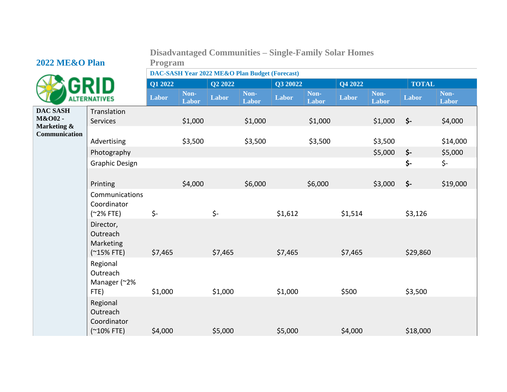## **Disadvantaged Communities – Single-Family Solar Homes Program**

## **2022 ME&O Plan**



**DAC SASH M&O02 - Marketing &** 

| DAC-SASH Year 2022 ME&O Plan Budget (Forecast) |  |
|------------------------------------------------|--|
|------------------------------------------------|--|

|                                                            |                                                      | Q1 2022 |               | Q <sub>2</sub> 2022 |               | Q3 20022 |               | Q4 2022 |               | <b>TOTAL</b> |               |
|------------------------------------------------------------|------------------------------------------------------|---------|---------------|---------------------|---------------|----------|---------------|---------|---------------|--------------|---------------|
|                                                            | <b>ALTERNATIVES</b>                                  | Labor   | Non-<br>Labor | Labor               | Non-<br>Labor | Labor    | Non-<br>Labor | Labor   | Non-<br>Labor | Labor        | Non-<br>Labor |
| <b>DAC SASH</b><br>M&O02 -<br>Marketing &<br>Communication | Translation<br><b>Services</b>                       |         | \$1,000       |                     | \$1,000       |          | \$1,000       |         | \$1,000       | \$-          | \$4,000       |
|                                                            | Advertising                                          |         | \$3,500       |                     | \$3,500       |          | \$3,500       |         | \$3,500       |              | \$14,000      |
|                                                            | Photography                                          |         |               |                     |               |          |               |         | \$5,000       | \$-          | \$5,000       |
|                                                            | <b>Graphic Design</b>                                |         |               |                     |               |          |               |         |               | \$-          | \$-           |
|                                                            | Printing                                             |         | \$4,000       |                     | \$6,000       |          | \$6,000       |         | \$3,000       | \$-          | \$19,000      |
|                                                            | Communications<br>Coordinator<br>$(*2%$ FTE)         | \$-     |               | \$-                 |               | \$1,612  |               | \$1,514 |               | \$3,126      |               |
|                                                            | Director,<br>Outreach<br>Marketing<br>$(*15% FTE)$   | \$7,465 |               | \$7,465             |               | \$7,465  |               | \$7,465 |               | \$29,860     |               |
|                                                            | Regional<br>Outreach<br>Manager (~2%<br>FTE)         | \$1,000 |               | \$1,000             |               | \$1,000  |               | \$500   |               | \$3,500      |               |
|                                                            | Regional<br>Outreach<br>Coordinator<br>$($ ~10% FTE) | \$4,000 |               | \$5,000             |               | \$5,000  |               | \$4,000 |               | \$18,000     |               |